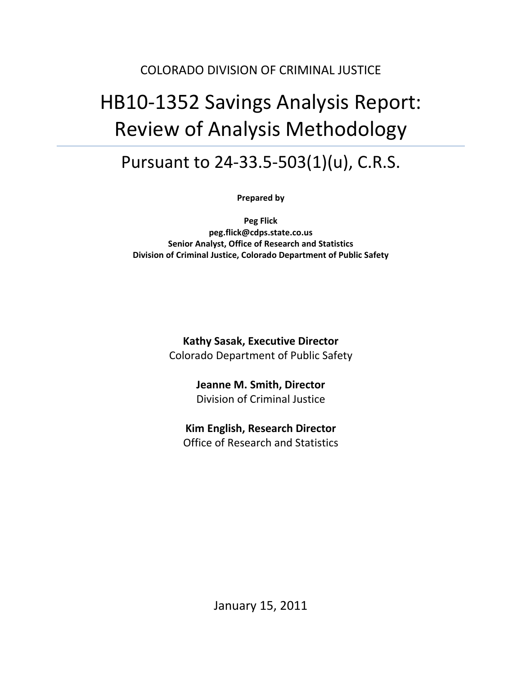## COLORADO DIVISION OF CRIMINAL JUSTICE

# HB10‐1352 Savings Analysis Report: Review of Analysis Methodology

# Pursuant to 24‐33.5‐503(1)(u), C.R.S.

**Prepared by**

**Peg Flick peg.flick@cdps.state.co.us Senior Analyst, Office of Research and Statistics Division of Criminal Justice, Colorado Department of Public Safety**

> **Kathy Sasak, Executive Director** Colorado Department of Public Safety

> > **Jeanne M. Smith, Director** Division of Criminal Justice

## **Kim English, Research Director**

Office of Research and Statistics

January 15, 2011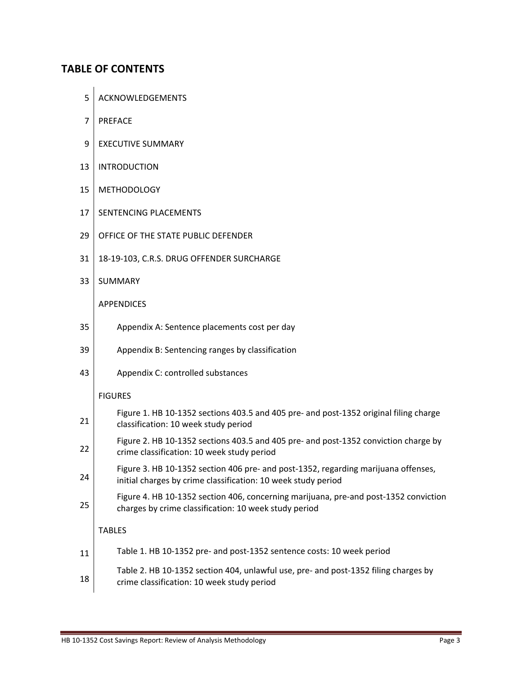## **TABLE OF CONTENTS**

- 5 | ACKNOWLEDGEMENTS
- 7 PREFACE
- 9 | EXECUTIVE SUMMARY
- 13 | INTRODUCTION
- 15 METHODOLOGY
- 17 SENTENCING PLACEMENTS
- 29 OFFICE OF THE STATE PUBLIC DEFENDER
- 31 | 18-19-103, C.R.S. DRUG OFFENDER SURCHARGE
- 33 SUMMARY

APPENDICES

- 35 | Appendix A: Sentence placements cost per day
- 39 Appendix B: Sentencing ranges by classification
- 43 | Appendix C: controlled substances

#### FIGURES

| 21 | Figure 1. HB 10-1352 sections 403.5 and 405 pre- and post-1352 original filing charge<br>classification: 10 week study period                       |
|----|-----------------------------------------------------------------------------------------------------------------------------------------------------|
| 22 | Figure 2. HB 10-1352 sections 403.5 and 405 pre- and post-1352 conviction charge by<br>crime classification: 10 week study period                   |
| 24 | Figure 3. HB 10-1352 section 406 pre- and post-1352, regarding marijuana offenses,<br>initial charges by crime classification: 10 week study period |
| 25 | Figure 4. HB 10-1352 section 406, concerning marijuana, pre-and post-1352 conviction<br>charges by crime classification: 10 week study period       |
|    | <b>TABLES</b>                                                                                                                                       |
| 11 | Table 1. HB 10-1352 pre- and post-1352 sentence costs: 10 week period                                                                               |
| 18 | Table 2. HB 10-1352 section 404, unlawful use, pre- and post-1352 filing charges by<br>crime classification: 10 week study period                   |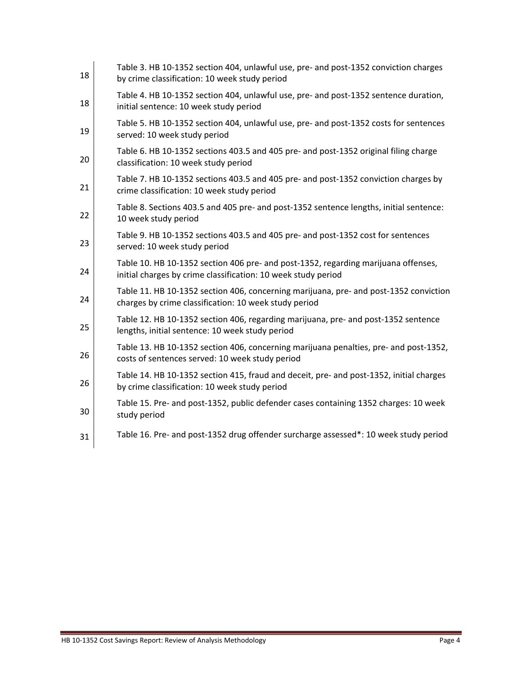| 18 | Table 3. HB 10-1352 section 404, unlawful use, pre- and post-1352 conviction charges<br>by crime classification: 10 week study period               |
|----|-----------------------------------------------------------------------------------------------------------------------------------------------------|
| 18 | Table 4. HB 10-1352 section 404, unlawful use, pre- and post-1352 sentence duration,<br>initial sentence: 10 week study period                      |
| 19 | Table 5. HB 10-1352 section 404, unlawful use, pre- and post-1352 costs for sentences<br>served: 10 week study period                               |
| 20 | Table 6. HB 10-1352 sections 403.5 and 405 pre- and post-1352 original filing charge<br>classification: 10 week study period                        |
| 21 | Table 7. HB 10-1352 sections 403.5 and 405 pre- and post-1352 conviction charges by<br>crime classification: 10 week study period                   |
| 22 | Table 8. Sections 403.5 and 405 pre- and post-1352 sentence lengths, initial sentence:<br>10 week study period                                      |
| 23 | Table 9. HB 10-1352 sections 403.5 and 405 pre- and post-1352 cost for sentences<br>served: 10 week study period                                    |
| 24 | Table 10. HB 10-1352 section 406 pre- and post-1352, regarding marijuana offenses,<br>initial charges by crime classification: 10 week study period |
| 24 | Table 11. HB 10-1352 section 406, concerning marijuana, pre- and post-1352 conviction<br>charges by crime classification: 10 week study period      |
| 25 | Table 12. HB 10-1352 section 406, regarding marijuana, pre- and post-1352 sentence<br>lengths, initial sentence: 10 week study period               |
| 26 | Table 13. HB 10-1352 section 406, concerning marijuana penalties, pre- and post-1352,<br>costs of sentences served: 10 week study period            |
| 26 | Table 14. HB 10-1352 section 415, fraud and deceit, pre- and post-1352, initial charges<br>by crime classification: 10 week study period            |
| 30 | Table 15. Pre- and post-1352, public defender cases containing 1352 charges: 10 week<br>study period                                                |
| 31 | Table 16. Pre- and post-1352 drug offender surcharge assessed*: 10 week study period                                                                |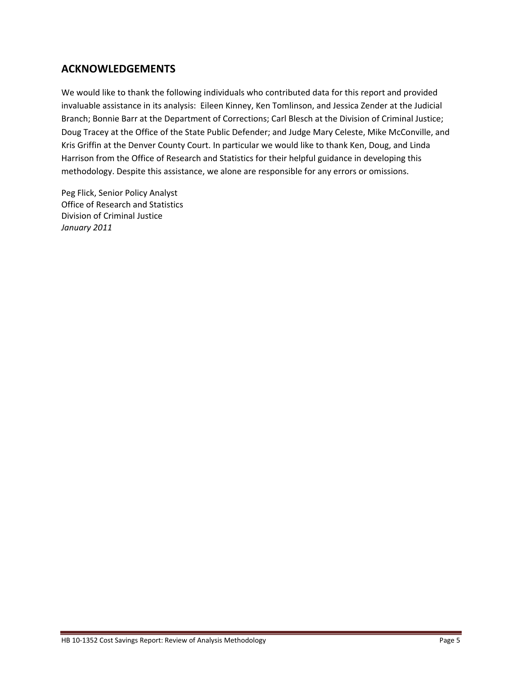## **ACKNOWLEDGEMENTS**

We would like to thank the following individuals who contributed data for this report and provided invaluable assistance in its analysis: Eileen Kinney, Ken Tomlinson, and Jessica Zender at the Judicial Branch; Bonnie Barr at the Department of Corrections; Carl Blesch at the Division of Criminal Justice; Doug Tracey at the Office of the State Public Defender; and Judge Mary Celeste, Mike McConville, and Kris Griffin at the Denver County Court. In particular we would like to thank Ken, Doug, and Linda Harrison from the Office of Research and Statistics for their helpful guidance in developing this methodology. Despite this assistance, we alone are responsible for any errors or omissions.

Peg Flick, Senior Policy Analyst Office of Research and Statistics Division of Criminal Justice *January 2011*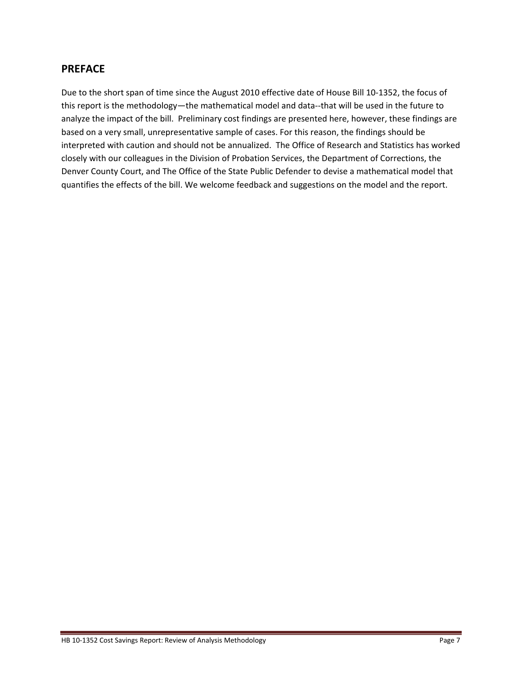### **PREFACE**

Due to the short span of time since the August 2010 effective date of House Bill 10‐1352, the focus of this report is the methodology—the mathematical model and data‐‐that will be used in the future to analyze the impact of the bill. Preliminary cost findings are presented here, however, these findings are based on a very small, unrepresentative sample of cases. For this reason, the findings should be interpreted with caution and should not be annualized. The Office of Research and Statistics has worked closely with our colleagues in the Division of Probation Services, the Department of Corrections, the Denver County Court, and The Office of the State Public Defender to devise a mathematical model that quantifies the effects of the bill. We welcome feedback and suggestions on the model and the report.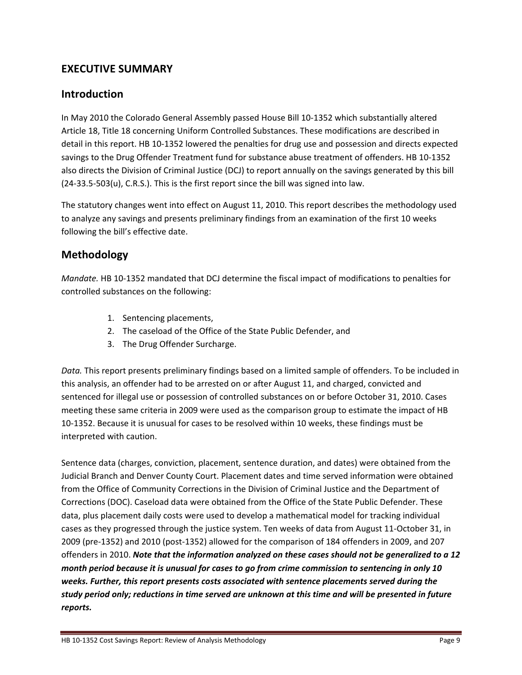## **EXECUTIVE SUMMARY**

## **Introduction**

In May 2010 the Colorado General Assembly passed House Bill 10‐1352 which substantially altered Article 18, Title 18 concerning Uniform Controlled Substances. These modifications are described in detail in this report. HB 10‐1352 lowered the penalties for drug use and possession and directs expected savings to the Drug Offender Treatment fund for substance abuse treatment of offenders. HB 10‐1352 also directs the Division of Criminal Justice (DCJ) to report annually on the savings generated by this bill  $(24-33.5-503(u), C.R.S.)$ . This is the first report since the bill was signed into law.

The statutory changes went into effect on August 11, 2010. This report describes the methodology used to analyze any savings and presents preliminary findings from an examination of the first 10 weeks following the bill's effective date.

## **Methodology**

*Mandate.* HB 10‐1352 mandated that DCJ determine the fiscal impact of modifications to penalties for controlled substances on the following:

- 1. Sentencing placements,
- 2. The caseload of the Office of the State Public Defender, and
- 3. The Drug Offender Surcharge.

*Data.* This report presents preliminary findings based on a limited sample of offenders. To be included in this analysis, an offender had to be arrested on or after August 11, and charged, convicted and sentenced for illegal use or possession of controlled substances on or before October 31, 2010. Cases meeting these same criteria in 2009 were used as the comparison group to estimate the impact of HB 10‐1352. Because it is unusual for cases to be resolved within 10 weeks, these findings must be interpreted with caution.

Sentence data (charges, conviction, placement, sentence duration, and dates) were obtained from the Judicial Branch and Denver County Court. Placement dates and time served information were obtained from the Office of Community Corrections in the Division of Criminal Justice and the Department of Corrections (DOC). Caseload data were obtained from the Office of the State Public Defender. These data, plus placement daily costs were used to develop a mathematical model for tracking individual cases as they progressed through the justice system. Ten weeks of data from August 11‐October 31, in 2009 (pre‐1352) and 2010 (post‐1352) allowed for the comparison of 184 offenders in 2009, and 207 offenders in 2010. *Note that the information analyzed on these cases should not be generalized to a 12 month period because it is unusual for cases to go from crime commission to sentencing in only 10 weeks. Further, this report presents costs associated with sentence placements served during the* study period only; reductions in time served are unknown at this time and will be presented in future *reports.*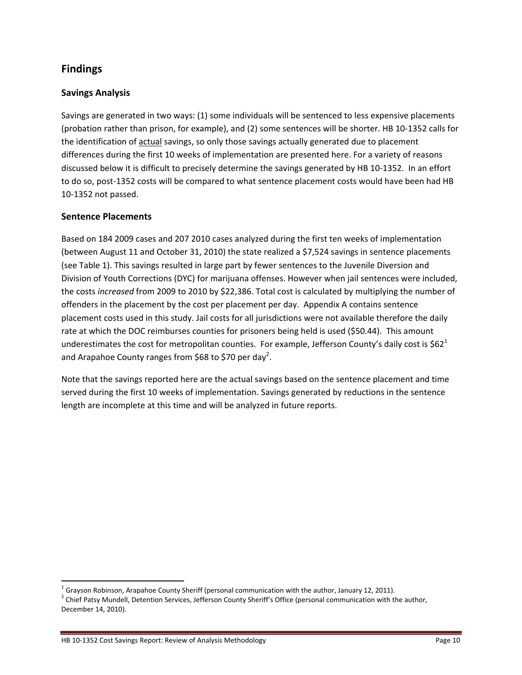## **Findings**

#### **Savings Analysis**

Savings are generated in two ways: (1) some individuals will be sentenced to less expensive placements (probation rather than prison, for example), and (2) some sentences will be shorter. HB 10‐1352 calls for the identification of actual savings, so only those savings actually generated due to placement differences during the first 10 weeks of implementation are presented here. For a variety of reasons discussed below it is difficult to precisely determine the savings generated by HB 10‐1352. In an effort to do so, post-1352 costs will be compared to what sentence placement costs would have been had HB 10‐1352 not passed.

#### **Sentence Placements**

Based on 184 2009 cases and 207 2010 cases analyzed during the first ten weeks of implementation (between August 11 and October 31, 2010) the state realized a \$7,524 savings in sentence placements (see Table 1). This savings resulted in large part by fewer sentences to the Juvenile Diversion and Division of Youth Corrections (DYC) for marijuana offenses. However when jail sentences were included, the costs *increased* from 2009 to 2010 by \$22,386. Total cost is calculated by multiplying the number of offenders in the placement by the cost per placement per day. Appendix A contains sentence placement costs used in this study. Jail costs for all jurisdictions were not available therefore the daily rate at which the DOC reimburses counties for prisoners being held is used (\$50.44). This amount underestimates the cost for metropolitan counties. For example, Jefferson County's daily cost is  $$62^1$ and Arapahoe County ranges from \$68 to \$70 per day<sup>2</sup>.

Note that the savings reported here are the actual savings based on the sentence placement and time served during the first 10 weeks of implementation. Savings generated by reductions in the sentence length are incomplete at this time and will be analyzed in future reports.

<sup>&</sup>lt;sup>1</sup> Grayson Robinson, Arapahoe County Sheriff (personal communication with the author, January 12, 2011). <sup>2</sup> Chief Patsy Mundell, Detention Services, Jefferson County Sheriff's Office (personal communication with the aut December 14, 2010).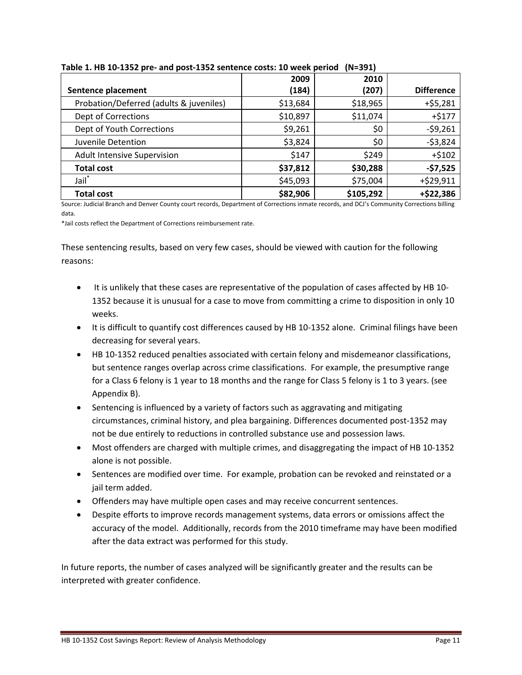|                                         | 2009     | 2010      |                   |
|-----------------------------------------|----------|-----------|-------------------|
| Sentence placement                      | (184)    | (207)     | <b>Difference</b> |
| Probation/Deferred (adults & juveniles) | \$13,684 | \$18,965  | $+ $5,281$        |
| <b>Dept of Corrections</b>              | \$10,897 | \$11,074  | $+ $177$          |
| Dept of Youth Corrections               | \$9,261  | \$0       | $-59,261$         |
| Juvenile Detention                      | \$3,824  | \$0       | $-53,824$         |
| Adult Intensive Supervision             | \$147    | \$249     | $+ $102$          |
| <b>Total cost</b>                       | \$37,812 | \$30,288  | $-57,525$         |
| Jail <sup>*</sup>                       | \$45,093 | \$75,004  | +\$29,911         |
| <b>Total cost</b>                       | \$82,906 | \$105,292 | +\$22,386         |

#### **Table 1. HB 10‐1352 pre‐ and post‐1352 sentence costs: 10 week period (N=391)**

Source: Judicial Branch and Denver County court records, Department of Corrections inmate records, and DCJ's Community Corrections billing data.

\*Jail costs reflect the Department of Corrections reimbursement rate.

These sentencing results, based on very few cases, should be viewed with caution for the following reasons:

- It is unlikely that these cases are representative of the population of cases affected by HB 10-1352 because it is unusual for a case to move from committing a crime to disposition in only 10 weeks.
- It is difficult to quantify cost differences caused by HB 10-1352 alone. Criminal filings have been decreasing for several years.
- HB 10-1352 reduced penalties associated with certain felony and misdemeanor classifications, but sentence ranges overlap across crime classifications. For example, the presumptive range for a Class 6 felony is 1 year to 18 months and the range for Class 5 felony is 1 to 3 years. (see Appendix B).
- Sentencing is influenced by a variety of factors such as aggravating and mitigating circumstances, criminal history, and plea bargaining. Differences documented post‐1352 may not be due entirely to reductions in controlled substance use and possession laws.
- Most offenders are charged with multiple crimes, and disaggregating the impact of HB 10-1352 alone is not possible.
- Sentences are modified over time. For example, probation can be revoked and reinstated or a jail term added.
- Offenders may have multiple open cases and may receive concurrent sentences.
- Despite efforts to improve records management systems, data errors or omissions affect the accuracy of the model. Additionally, records from the 2010 timeframe may have been modified after the data extract was performed for this study.

In future reports, the number of cases analyzed will be significantly greater and the results can be interpreted with greater confidence.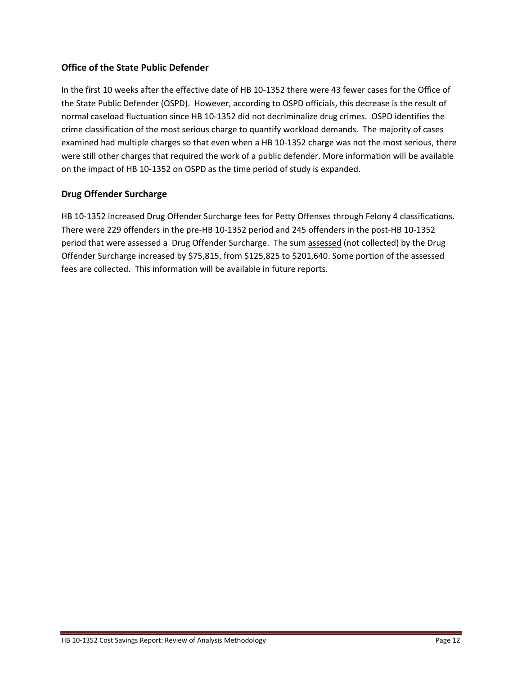#### **Office of the State Public Defender**

In the first 10 weeks after the effective date of HB 10‐1352 there were 43 fewer cases for the Office of the State Public Defender (OSPD). However, according to OSPD officials, this decrease is the result of normal caseload fluctuation since HB 10‐1352 did not decriminalize drug crimes. OSPD identifies the crime classification of the most serious charge to quantify workload demands. The majority of cases examined had multiple charges so that even when a HB 10-1352 charge was not the most serious, there were still other charges that required the work of a public defender. More information will be available on the impact of HB 10‐1352 on OSPD as the time period of study is expanded.

#### **Drug Offender Surcharge**

HB 10-1352 increased Drug Offender Surcharge fees for Petty Offenses through Felony 4 classifications. There were 229 offenders in the pre‐HB 10‐1352 period and 245 offenders in the post‐HB 10‐1352 period that were assessed a Drug Offender Surcharge. The sum assessed (not collected) by the Drug Offender Surcharge increased by \$75,815, from \$125,825 to \$201,640. Some portion of the assessed fees are collected. This information will be available in future reports.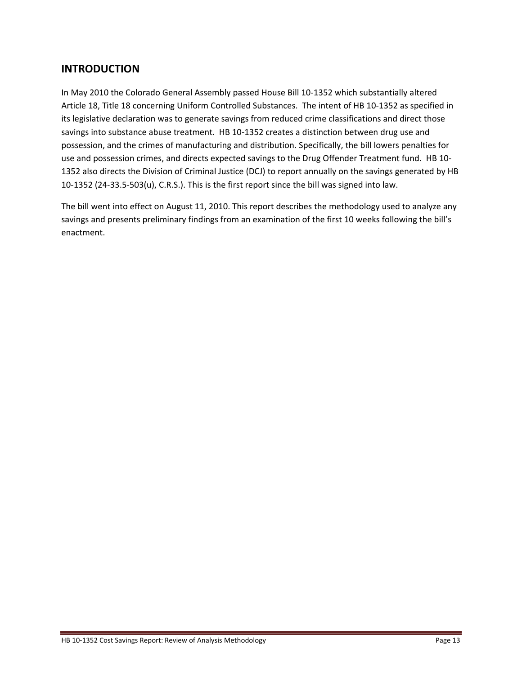## **INTRODUCTION**

In May 2010 the Colorado General Assembly passed House Bill 10‐1352 which substantially altered Article 18, Title 18 concerning Uniform Controlled Substances. The intent of HB 10‐1352 as specified in its legislative declaration was to generate savings from reduced crime classifications and direct those savings into substance abuse treatment. HB 10-1352 creates a distinction between drug use and possession, and the crimes of manufacturing and distribution. Specifically, the bill lowers penalties for use and possession crimes, and directs expected savings to the Drug Offender Treatment fund. HB 10‐ 1352 also directs the Division of Criminal Justice (DCJ) to report annually on the savings generated by HB 10‐1352 (24‐33.5‐503(u), C.R.S.). This is the first report since the bill was signed into law.

The bill went into effect on August 11, 2010. This report describes the methodology used to analyze any savings and presents preliminary findings from an examination of the first 10 weeks following the bill's enactment.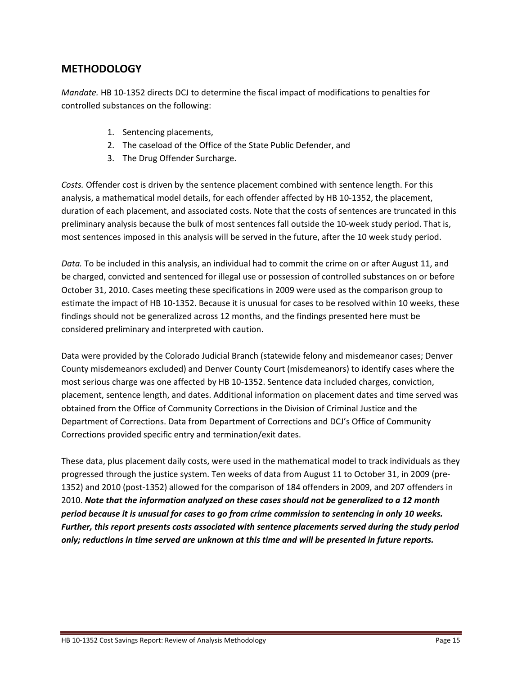## **METHODOLOGY**

*Mandate.* HB 10‐1352 directs DCJ to determine the fiscal impact of modifications to penalties for controlled substances on the following:

- 1. Sentencing placements,
- 2. The caseload of the Office of the State Public Defender, and
- 3. The Drug Offender Surcharge.

*Costs.* Offender cost is driven by the sentence placement combined with sentence length. For this analysis, a mathematical model details, for each offender affected by HB 10‐1352, the placement, duration of each placement, and associated costs. Note that the costs of sentences are truncated in this preliminary analysis because the bulk of most sentences fall outside the 10-week study period. That is, most sentences imposed in this analysis will be served in the future, after the 10 week study period.

*Data.* To be included in this analysis, an individual had to commit the crime on or after August 11, and be charged, convicted and sentenced for illegal use or possession of controlled substances on or before October 31, 2010. Cases meeting these specifications in 2009 were used as the comparison group to estimate the impact of HB 10‐1352. Because it is unusual for cases to be resolved within 10 weeks, these findings should not be generalized across 12 months, and the findings presented here must be considered preliminary and interpreted with caution.

Data were provided by the Colorado Judicial Branch (statewide felony and misdemeanor cases; Denver County misdemeanors excluded) and Denver County Court (misdemeanors) to identify cases where the most serious charge was one affected by HB 10‐1352. Sentence data included charges, conviction, placement, sentence length, and dates. Additional information on placement dates and time served was obtained from the Office of Community Corrections in the Division of Criminal Justice and the Department of Corrections. Data from Department of Corrections and DCJ's Office of Community Corrections provided specific entry and termination/exit dates.

These data, plus placement daily costs, were used in the mathematical model to track individuals as they progressed through the justice system. Ten weeks of data from August 11 to October 31, in 2009 (pre‐ 1352) and 2010 (post‐1352) allowed for the comparison of 184 offenders in 2009, and 207 offenders in 2010. *Note that the information analyzed on these cases should not be generalized to a 12 month period because it is unusual for cases to go from crime commission to sentencing in only 10 weeks. Further, this report presents costs associated with sentence placements served during the study period only; reductions in time served are unknown at this time and will be presented in future reports.*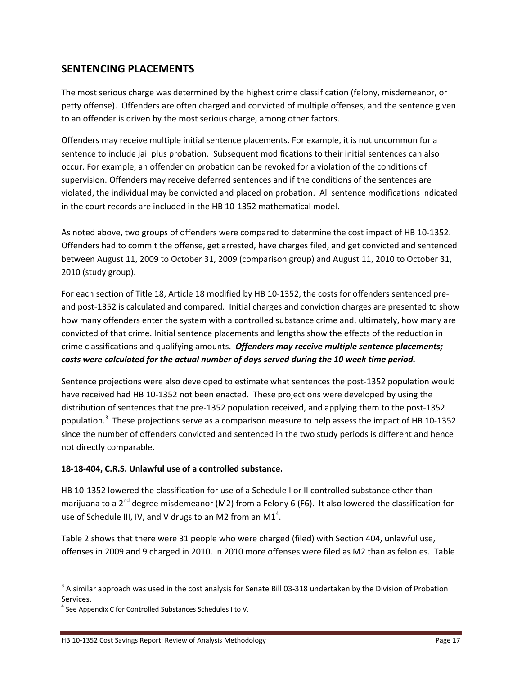## **SENTENCING PLACEMENTS**

The most serious charge was determined by the highest crime classification (felony, misdemeanor, or petty offense). Offenders are often charged and convicted of multiple offenses, and the sentence given to an offender is driven by the most serious charge, among other factors.

Offenders may receive multiple initial sentence placements. For example, it is not uncommon for a sentence to include jail plus probation. Subsequent modifications to their initial sentences can also occur. For example, an offender on probation can be revoked for a violation of the conditions of supervision. Offenders may receive deferred sentences and if the conditions of the sentences are violated, the individual may be convicted and placed on probation. All sentence modifications indicated in the court records are included in the HB 10‐1352 mathematical model.

As noted above, two groups of offenders were compared to determine the cost impact of HB 10‐1352. Offenders had to commit the offense, get arrested, have charges filed, and get convicted and sentenced between August 11, 2009 to October 31, 2009 (comparison group) and August 11, 2010 to October 31, 2010 (study group).

For each section of Title 18, Article 18 modified by HB 10-1352, the costs for offenders sentenced preand post-1352 is calculated and compared. Initial charges and conviction charges are presented to show how many offenders enter the system with a controlled substance crime and, ultimately, how many are convicted of that crime. Initial sentence placements and lengths show the effects of the reduction in crime classifications and qualifying amounts. *Offenders may receive multiple sentence placements; costs were calculated for the actual number of days served during the 10 week time period.*

Sentence projections were also developed to estimate what sentences the post‐1352 population would have received had HB 10‐1352 not been enacted. These projections were developed by using the distribution of sentences that the pre‐1352 population received, and applying them to the post‐1352 population.<sup>3</sup> These projections serve as a comparison measure to help assess the impact of HB 10-1352 since the number of offenders convicted and sentenced in the two study periods is different and hence not directly comparable.

#### **18‐18‐404, C.R.S. Unlawful use of a controlled substance.**

HB 10-1352 lowered the classification for use of a Schedule I or II controlled substance other than marijuana to a  $2^{nd}$  degree misdemeanor (M2) from a Felony 6 (F6). It also lowered the classification for use of Schedule III, IV, and V drugs to an M2 from an M1<sup>4</sup>.

Table 2 shows that there were 31 people who were charged (filed) with Section 404, unlawful use, offenses in 2009 and 9 charged in 2010. In 2010 more offenses were filed as M2 than as felonies. Table

<sup>&</sup>lt;sup>3</sup> A similar approach was used in the cost analysis for Senate Bill 03-318 undertaken by the Division of Probation Services.

<sup>&</sup>lt;sup>4</sup> See Appendix C for Controlled Substances Schedules I to V.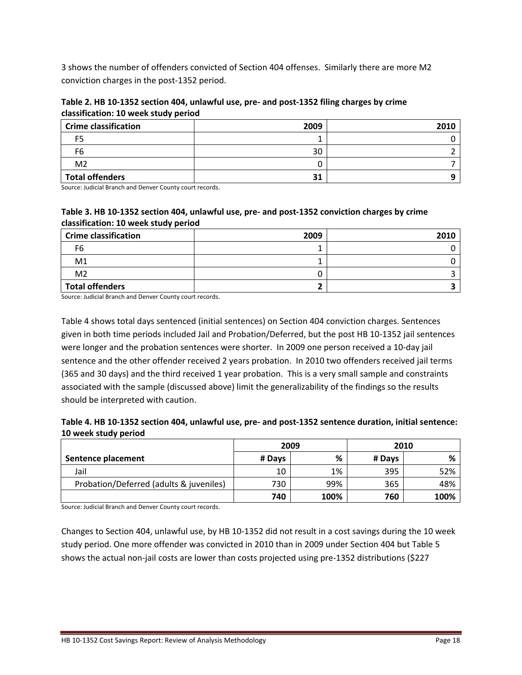3 shows the number of offenders convicted of Section 404 offenses. Similarly there are more M2 conviction charges in the post‐1352 period.

Table 2. HB 10-1352 section 404, unlawful use, pre- and post-1352 filing charges by crime **classification: 10 week study period**

| <b>Crime classification</b> | 2009 | 2010 |
|-----------------------------|------|------|
| F5                          |      |      |
| F6                          | 30   |      |
| M <sub>2</sub>              |      |      |
| <b>Total offenders</b>      | 31   |      |

Source: Judicial Branch and Denver County court records.

#### Table 3. HB 10-1352 section 404, unlawful use, pre- and post-1352 conviction charges by crime **classification: 10 week study period**

| <b>Crime classification</b> | 2009 | 2010 |
|-----------------------------|------|------|
| -6                          |      |      |
| M <sub>1</sub>              |      |      |
| M <sub>2</sub>              |      |      |
| <b>Total offenders</b>      |      |      |

Source: Judicial Branch and Denver County court records.

Table 4 shows total days sentenced (initial sentences) on Section 404 conviction charges. Sentences given in both time periods included Jail and Probation/Deferred, but the post HB 10‐1352 jail sentences were longer and the probation sentences were shorter. In 2009 one person received a 10-day jail sentence and the other offender received 2 years probation. In 2010 two offenders received jail terms (365 and 30 days) and the third received 1 year probation. This is a very small sample and constraints associated with the sample (discussed above) limit the generalizability of the findings so the results should be interpreted with caution.

| Table 4. HB 10-1352 section 404, unlawful use, pre- and post-1352 sentence duration, initial sentence: |  |
|--------------------------------------------------------------------------------------------------------|--|
| 10 week study period                                                                                   |  |

|                                         | 2009   |      | 2010   |      |
|-----------------------------------------|--------|------|--------|------|
| Sentence placement                      | # Days | %    | # Days | %    |
| Jail                                    | 10     | 1%   | 395    | 52%  |
| Probation/Deferred (adults & juveniles) | 730    | 99%  | 365    | 48%  |
|                                         | 740    | 100% | 760    | 100% |

Source: Judicial Branch and Denver County court records.

Changes to Section 404, unlawful use, by HB 10‐1352 did not result in a cost savings during the 10 week study period. One more offender was convicted in 2010 than in 2009 under Section 404 but Table 5 shows the actual non‐jail costs are lower than costs projected using pre‐1352 distributions (\$227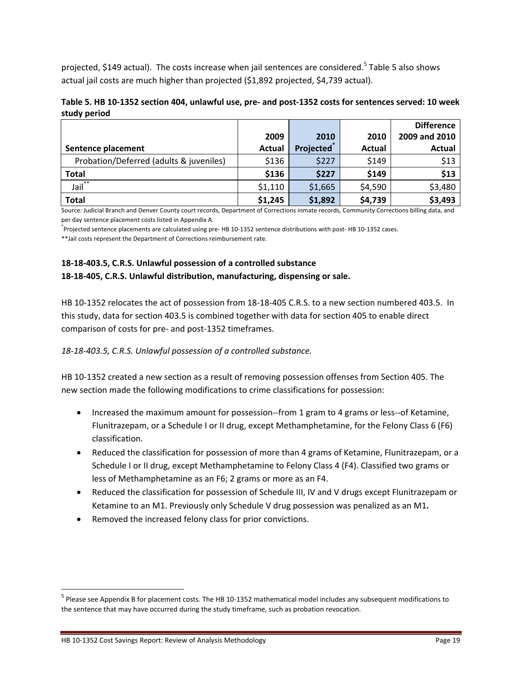projected, \$149 actual). The costs increase when jail sentences are considered.<sup>5</sup> Table 5 also shows actual jail costs are much higher than projected (\$1,892 projected, \$4,739 actual).

| Table 5. HB 10-1352 section 404, unlawful use, pre- and post-1352 costs for sentences served: 10 week |  |  |
|-------------------------------------------------------------------------------------------------------|--|--|
| study period                                                                                          |  |  |

|                                         |         |                  |               | <b>Difference</b> |
|-----------------------------------------|---------|------------------|---------------|-------------------|
|                                         | 2009    | 2010             | 2010          | 2009 and 2010     |
| Sentence placement                      | Actual  | <b>Projected</b> | <b>Actual</b> | <b>Actual</b>     |
| Probation/Deferred (adults & juveniles) | \$136   | \$227            | \$149         | \$13              |
| <b>Total</b>                            | \$136   | \$227            | \$149         | \$13              |
| Jail <sup>**</sup>                      | \$1,110 | \$1,665          | \$4,590       | \$3,480           |
| <b>Total</b>                            | \$1,245 | \$1,892          | \$4,739       | \$3,493           |

Source: Judicial Branch and Denver County court records, Department of Corrections inmate records, Community Corrections billing data, and per day sentence placement costs listed in Appendix A.

\* Projected sentence placements are calculated using pre‐ HB 10‐1352 sentence distributions with post‐ HB 10‐1352 cases.

\*\*Jail costs represent the Department of Corrections reimbursement rate.

#### **18‐18‐403.5, C.R.S. Unlawful possession of a controlled substance 18‐18‐405, C.R.S. Unlawful distribution, manufacturing, dispensing or sale.**

HB 10‐1352 relocates the act of possession from 18‐18‐405 C.R.S. to a new section numbered 403.5. In this study, data for section 403.5 is combined together with data for section 405 to enable direct comparison of costs for pre‐ and post‐1352 timeframes.

*18‐18‐403.5, C.R.S. Unlawful possession of a controlled substance.*

HB 10‐1352 created a new section as a result of removing possession offenses from Section 405. The new section made the following modifications to crime classifications for possession:

- Increased the maximum amount for possession--from 1 gram to 4 grams or less--of Ketamine, Flunitrazepam, or a Schedule I or II drug, except Methamphetamine, for the Felony Class 6 (F6) classification.
- Reduced the classification for possession of more than 4 grams of Ketamine, Flunitrazepam, or a Schedule I or II drug, except Methamphetamine to Felony Class 4 (F4). Classified two grams or less of Methamphetamine as an F6; 2 grams or more as an F4.
- Reduced the classification for possession of Schedule III, IV and V drugs except Flunitrazepam or Ketamine to an M1. Previously only Schedule V drug possession was penalized as an M1**.**
- Removed the increased felony class for prior convictions.

 $<sup>5</sup>$  Please see Appendix B for placement costs. The HB 10-1352 mathematical model includes any subsequent modifications to</sup> the sentence that may have occurred during the study timeframe, such as probation revocation.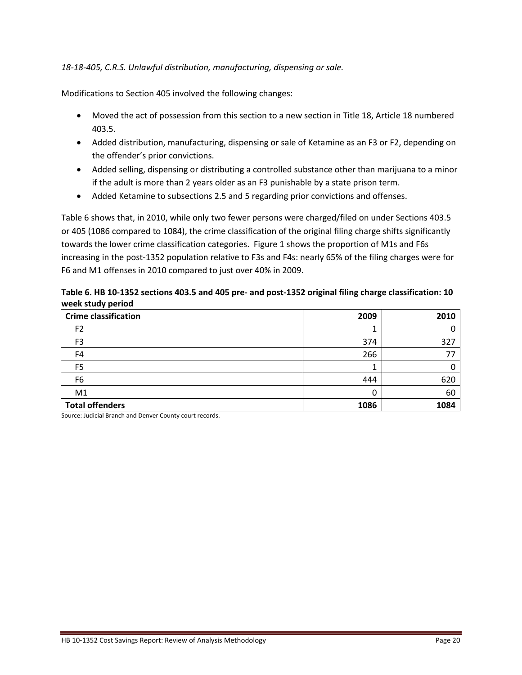#### *18‐18‐405, C.R.S. Unlawful distribution, manufacturing, dispensing or sale.*

Modifications to Section 405 involved the following changes:

- Moved the act of possession from this section to a new section in Title 18, Article 18 numbered 403.5.
- Added distribution, manufacturing, dispensing or sale of Ketamine as an F3 or F2, depending on the offender's prior convictions.
- Added selling, dispensing or distributing a controlled substance other than marijuana to a minor if the adult is more than 2 years older as an F3 punishable by a state prison term.
- Added Ketamine to subsections 2.5 and 5 regarding prior convictions and offenses.

Table 6 shows that, in 2010, while only two fewer persons were charged/filed on under Sections 403.5 or 405 (1086 compared to 1084), the crime classification of the original filing charge shifts significantly towards the lower crime classification categories. Figure 1 shows the proportion of M1s and F6s increasing in the post‐1352 population relative to F3s and F4s: nearly 65% of the filing charges were for F6 and M1 offenses in 2010 compared to just over 40% in 2009.

Table 6. HB 10-1352 sections 403.5 and 405 pre- and post-1352 original filing charge classification: 10 **week study period**

| <b>Crime classification</b> | 2009 | 2010 |
|-----------------------------|------|------|
| F <sub>2</sub>              |      |      |
| F3                          | 374  | 327  |
| F4                          | 266  | 77   |
| F <sub>5</sub>              |      |      |
| F <sub>6</sub>              | 444  | 620  |
| M1                          |      | 60   |
| <b>Total offenders</b>      | 1086 | 1084 |

Source: Judicial Branch and Denver County court records.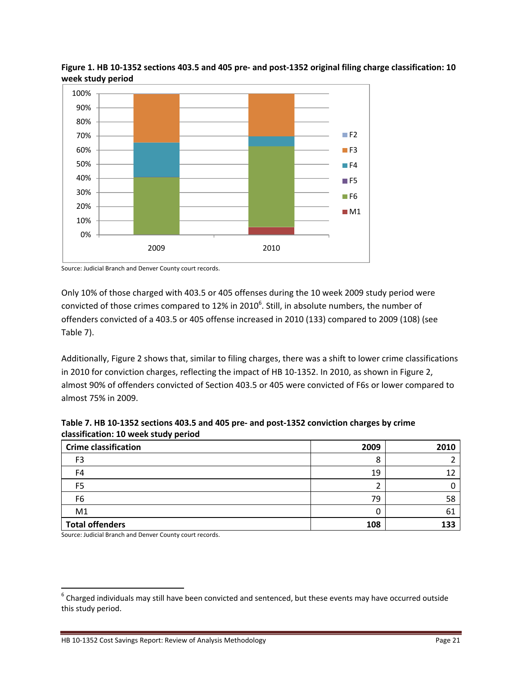



Source: Judicial Branch and Denver County court records.

Only 10% of those charged with 403.5 or 405 offenses during the 10 week 2009 study period were convicted of those crimes compared to 12% in 2010<sup>6</sup>. Still, in absolute numbers, the number of offenders convicted of a 403.5 or 405 offense increased in 2010 (133) compared to 2009 (108) (see Table 7).

Additionally, Figure 2 shows that, similar to filing charges, there was a shift to lower crime classifications in 2010 for conviction charges, reflecting the impact of HB 10-1352. In 2010, as shown in Figure 2, almost 90% of offenders convicted of Section 403.5 or 405 were convicted of F6s or lower compared to almost 75% in 2009.

| Table 7. HB 10-1352 sections 403.5 and 405 pre- and post-1352 conviction charges by crime |  |
|-------------------------------------------------------------------------------------------|--|
| classification: 10 week study period                                                      |  |

| <b>Crime classification</b> | 2009 | 2010 |
|-----------------------------|------|------|
| F <sub>3</sub>              | O    |      |
| F4                          | 19   |      |
| F5                          |      |      |
| F6                          | 79   | 58   |
| M1                          |      | 61   |
| <b>Total offenders</b>      | 108  | 133  |

Source: Judicial Branch and Denver County court records.

 $6$  Charged individuals may still have been convicted and sentenced, but these events may have occurred outside this study period.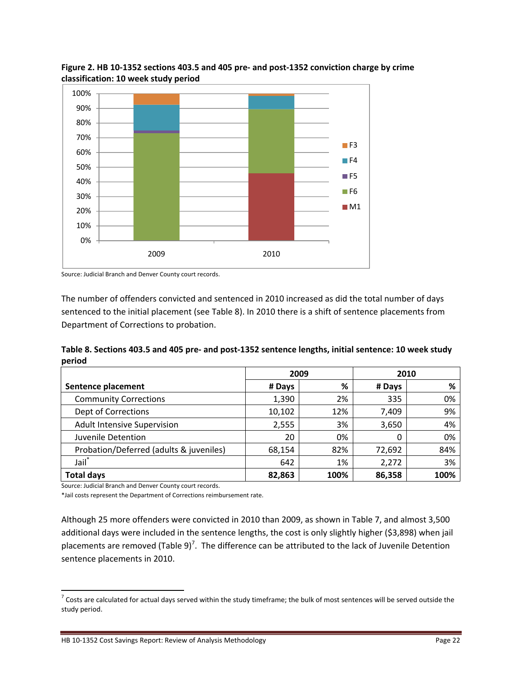

Figure 2. HB 10-1352 sections 403.5 and 405 pre- and post-1352 conviction charge by crime **classification: 10 week study period**



The number of offenders convicted and sentenced in 2010 increased as did the total number of days sentenced to the initial placement (see Table 8). In 2010 there is a shift of sentence placements from Department of Corrections to probation.

Table 8. Sections 403.5 and 405 pre- and post-1352 sentence lengths, initial sentence: 10 week study **period**

|                                         |        | 2009 |        | 2010 |
|-----------------------------------------|--------|------|--------|------|
| Sentence placement                      | # Days | %    | # Days | %    |
| <b>Community Corrections</b>            | 1,390  | 2%   | 335    | 0%   |
| <b>Dept of Corrections</b>              | 10,102 | 12%  | 7,409  | 9%   |
| <b>Adult Intensive Supervision</b>      | 2,555  | 3%   | 3,650  | 4%   |
| Juvenile Detention                      | 20     | 0%   | 0      | 0%   |
| Probation/Deferred (adults & juveniles) | 68,154 | 82%  | 72,692 | 84%  |
| Jail <sup>*</sup>                       | 642    | 1%   | 2,272  | 3%   |
| <b>Total days</b>                       | 82,863 | 100% | 86,358 | 100% |

Source: Judicial Branch and Denver County court records.

\*Jail costs represent the Department of Corrections reimbursement rate.

Although 25 more offenders were convicted in 2010 than 2009, as shown in Table 7, and almost 3,500 additional days were included in the sentence lengths, the cost is only slightly higher (\$3,898) when jail placements are removed (Table 9)<sup>7</sup>. The difference can be attributed to the lack of Juvenile Detention sentence placements in 2010.

 $7$  Costs are calculated for actual days served within the study timeframe; the bulk of most sentences will be served outside the study period.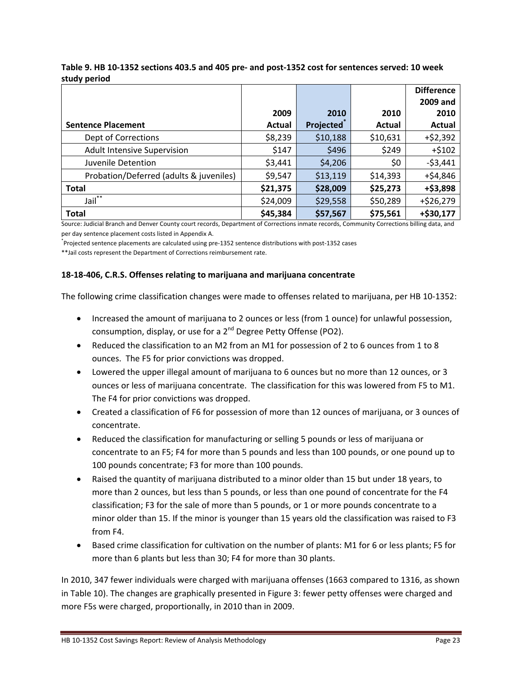|                                         |               |                        |          | <b>Difference</b> |
|-----------------------------------------|---------------|------------------------|----------|-------------------|
|                                         |               |                        |          | 2009 and          |
|                                         | 2009          | 2010                   | 2010     | 2010              |
| <b>Sentence Placement</b>               | <b>Actual</b> | Projected <sup>®</sup> | Actual   | Actual            |
| Dept of Corrections                     | \$8,239       | \$10,188               | \$10,631 | $+ $2,392$        |
| <b>Adult Intensive Supervision</b>      | \$147         | \$496                  | \$249    | $+ $102$          |
| Juvenile Detention                      | \$3,441       | \$4,206                | \$0      | $-53,441$         |
| Probation/Deferred (adults & juveniles) | \$9,547       | \$13,119               | \$14,393 | $+ $4,846$        |
| <b>Total</b>                            | \$21,375      | \$28,009               | \$25,273 | +\$3,898          |
| $\overline{Jai}$ <sup>**</sup>          | \$24,009      | \$29,558               | \$50,289 | $+ $26,279$       |
| <b>Total</b>                            | \$45,384      | \$57,567               | \$75,561 | +\$30,177         |

Table 9. HB 10-1352 sections 403.5 and 405 pre- and post-1352 cost for sentences served: 10 week **study period**

Source: Judicial Branch and Denver County court records, Department of Corrections inmate records, Community Corrections billing data, and per day sentence placement costs listed in Appendix A.

\* Projected sentence placements are calculated using pre‐1352 sentence distributions with post‐1352 cases

\*\*Jail costs represent the Department of Corrections reimbursement rate.

#### **18‐18‐406, C.R.S. Offenses relating to marijuana and marijuana concentrate**

The following crime classification changes were made to offenses related to marijuana, per HB 10‐1352:

- Increased the amount of marijuana to 2 ounces or less (from 1 ounce) for unlawful possession, consumption, display, or use for a 2<sup>nd</sup> Degree Petty Offense (PO2).
- Reduced the classification to an M2 from an M1 for possession of 2 to 6 ounces from 1 to 8 ounces. The F5 for prior convictions was dropped.
- Lowered the upper illegal amount of marijuana to 6 ounces but no more than 12 ounces, or 3 ounces or less of marijuana concentrate. The classification for this was lowered from F5 to M1. The F4 for prior convictions was dropped.
- Created a classification of F6 for possession of more than 12 ounces of marijuana, or 3 ounces of concentrate.
- Reduced the classification for manufacturing or selling 5 pounds or less of marijuana or concentrate to an F5; F4 for more than 5 pounds and less than 100 pounds, or one pound up to 100 pounds concentrate; F3 for more than 100 pounds.
- Raised the quantity of marijuana distributed to a minor older than 15 but under 18 years, to more than 2 ounces, but less than 5 pounds, or less than one pound of concentrate for the F4 classification; F3 for the sale of more than 5 pounds, or 1 or more pounds concentrate to a minor older than 15. If the minor is younger than 15 years old the classification was raised to F3 from F4.
- Based crime classification for cultivation on the number of plants: M1 for 6 or less plants; F5 for more than 6 plants but less than 30; F4 for more than 30 plants.

In 2010, 347 fewer individuals were charged with marijuana offenses (1663 compared to 1316, as shown in Table 10). The changes are graphically presented in Figure 3: fewer petty offenses were charged and more F5s were charged, proportionally, in 2010 than in 2009.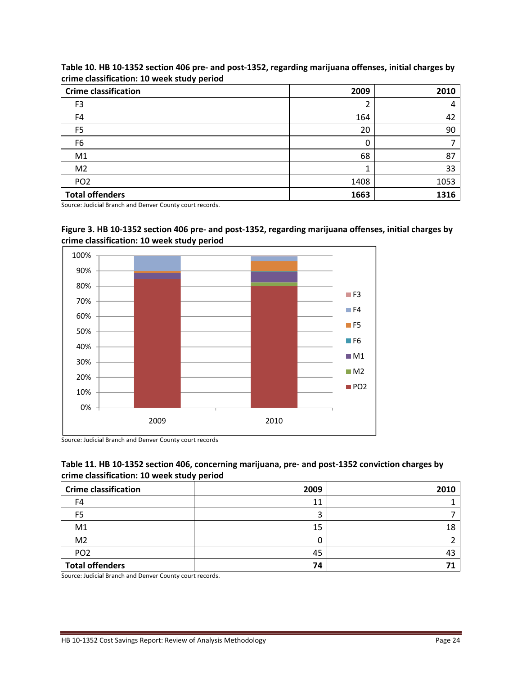| <b>Crime classification</b> | 2009 | 2010 |
|-----------------------------|------|------|
| F <sub>3</sub>              |      |      |
| F4                          | 164  | 42   |
| F <sub>5</sub>              | 20   | 90   |
| F6                          |      |      |
| M1                          | 68   | 87   |
| M <sub>2</sub>              |      | 33   |
| PO <sub>2</sub>             | 1408 | 1053 |
| <b>Total offenders</b>      | 1663 | 1316 |

Table 10. HB 10-1352 section 406 pre- and post-1352, regarding marijuana offenses, initial charges by **crime classification: 10 week study period**

Source: Judicial Branch and Denver County court records.





Source: Judicial Branch and Denver County court records

#### Table 11. HB 10-1352 section 406, concerning marijuana, pre- and post-1352 conviction charges by **crime classification: 10 week study period**

| <b>Crime classification</b> | 2009 | 2010 |
|-----------------------------|------|------|
| F4                          | 11   |      |
| F5                          |      |      |
| M1                          | 15   | 18   |
| M <sub>2</sub>              |      |      |
| PO <sub>2</sub>             | 45   | 43   |
| <b>Total offenders</b>      | 74   |      |

Source: Judicial Branch and Denver County court records.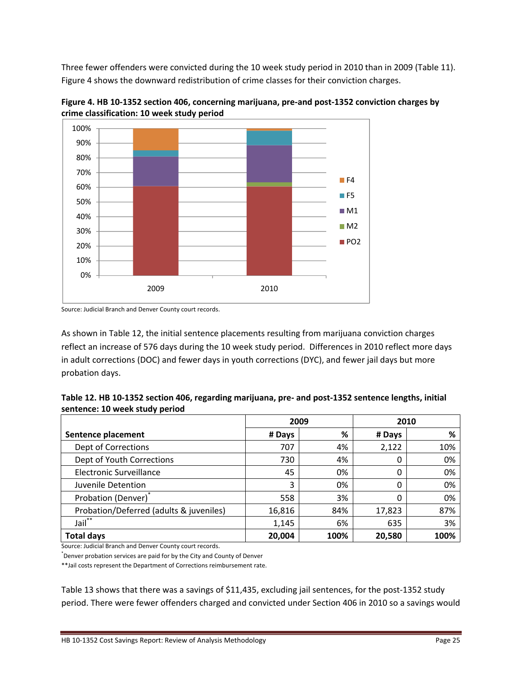Three fewer offenders were convicted during the 10 week study period in 2010 than in 2009 (Table 11). Figure 4 shows the downward redistribution of crime classes for their conviction charges.



Figure 4. HB 10-1352 section 406, concerning marijuana, pre-and post-1352 conviction charges by **crime classification: 10 week study period**

As shown in Table 12, the initial sentence placements resulting from marijuana conviction charges reflect an increase of 576 days during the 10 week study period. Differences in 2010 reflect more days in adult corrections (DOC) and fewer days in youth corrections (DYC), and fewer jail days but more probation days.

| Table 12. HB 10-1352 section 406, regarding marijuana, pre- and post-1352 sentence lengths, initial |  |
|-----------------------------------------------------------------------------------------------------|--|
| sentence: 10 week study period                                                                      |  |

|                                         | 2009   |      | 2010   |      |
|-----------------------------------------|--------|------|--------|------|
| Sentence placement                      | # Days | %    | # Days | %    |
| Dept of Corrections                     | 707    | 4%   | 2,122  | 10%  |
| Dept of Youth Corrections               | 730    | 4%   | 0      | 0%   |
| Electronic Surveillance                 | 45     | 0%   | 0      | 0%   |
| Juvenile Detention                      | 3      | 0%   | 0      | 0%   |
| Probation (Denver)*                     | 558    | 3%   | 0      | 0%   |
| Probation/Deferred (adults & juveniles) | 16,816 | 84%  | 17,823 | 87%  |
| $Jail**$                                | 1,145  | 6%   | 635    | 3%   |
| <b>Total days</b>                       | 20,004 | 100% | 20,580 | 100% |

Source: Judicial Branch and Denver County court records.

\* Denver probation services are paid for by the City and County of Denver

\*\*Jail costs represent the Department of Corrections reimbursement rate.

Table 13 shows that there was a savings of \$11,435, excluding jail sentences, for the post-1352 study period. There were fewer offenders charged and convicted under Section 406 in 2010 so a savings would

Source: Judicial Branch and Denver County court records.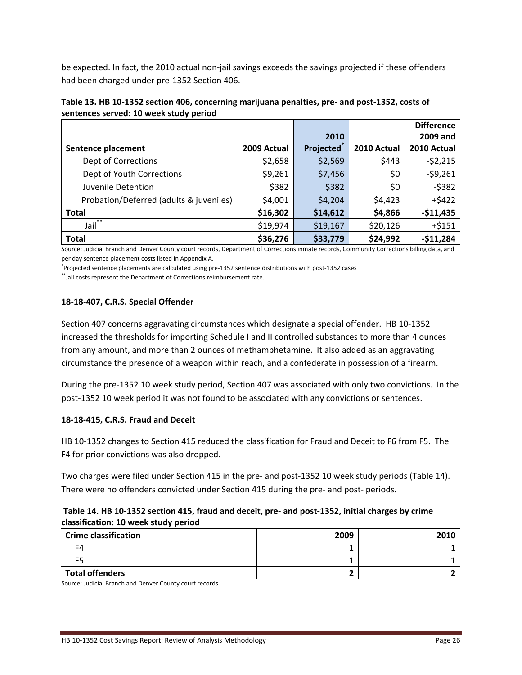be expected. In fact, the 2010 actual non‐jail savings exceeds the savings projected if these offenders had been charged under pre‐1352 Section 406.

|                                         |             |           |             | <b>Difference</b> |
|-----------------------------------------|-------------|-----------|-------------|-------------------|
|                                         |             | 2010      |             | 2009 and          |
| Sentence placement                      | 2009 Actual | Projected | 2010 Actual | 2010 Actual       |
| Dept of Corrections                     | \$2,658     | \$2,569   | \$443       | $-52,215$         |
| Dept of Youth Corrections               | \$9,261     | \$7,456   | \$0         | $-59,261$         |
| Juvenile Detention                      | \$382       | \$382     | \$0         | $-5382$           |
| Probation/Deferred (adults & juveniles) | \$4,001     | \$4,204   | \$4,423     | $+5422$           |
| <b>Total</b>                            | \$16,302    | \$14,612  | \$4,866     | $-$11,435$        |
| Jail**                                  | \$19,974    | \$19,167  | \$20,126    | $+ $151$          |
| <b>Total</b>                            | \$36,276    | \$33,779  | \$24,992    | $-$11,284$        |

Table 13. HB 10-1352 section 406, concerning marijuana penalties, pre- and post-1352, costs of **sentences served: 10 week study period**

Source: Judicial Branch and Denver County court records, Department of Corrections inmate records, Community Corrections billing data, and per day sentence placement costs listed in Appendix A.

\* Projected sentence placements are calculated using pre‐1352 sentence distributions with post‐1352 cases

\*\*Jail costs represent the Department of Corrections reimbursement rate.

#### **18‐18‐407, C.R.S. Special Offender**

Section 407 concerns aggravating circumstances which designate a special offender. HB 10‐1352 increased the thresholds for importing Schedule I and II controlled substances to more than 4 ounces from any amount, and more than 2 ounces of methamphetamine. It also added as an aggravating circumstance the presence of a weapon within reach, and a confederate in possession of a firearm.

During the pre‐1352 10 week study period, Section 407 was associated with only two convictions. In the post-1352 10 week period it was not found to be associated with any convictions or sentences.

#### **18‐18‐415, C.R.S. Fraud and Deceit**

HB 10‐1352 changes to Section 415 reduced the classification for Fraud and Deceit to F6 from F5. The F4 for prior convictions was also dropped.

Two charges were filed under Section 415 in the pre‐ and post‐1352 10 week study periods (Table 14). There were no offenders convicted under Section 415 during the pre- and post- periods.

#### Table 14. HB 10-1352 section 415, fraud and deceit, pre- and post-1352, initial charges by crime **classification: 10 week study period**

| <b>Crime classification</b> | 2009 | <b>2016</b> |
|-----------------------------|------|-------------|
|                             |      |             |
|                             |      |             |
| <b>Total offenders</b>      |      |             |

Source: Judicial Branch and Denver County court records.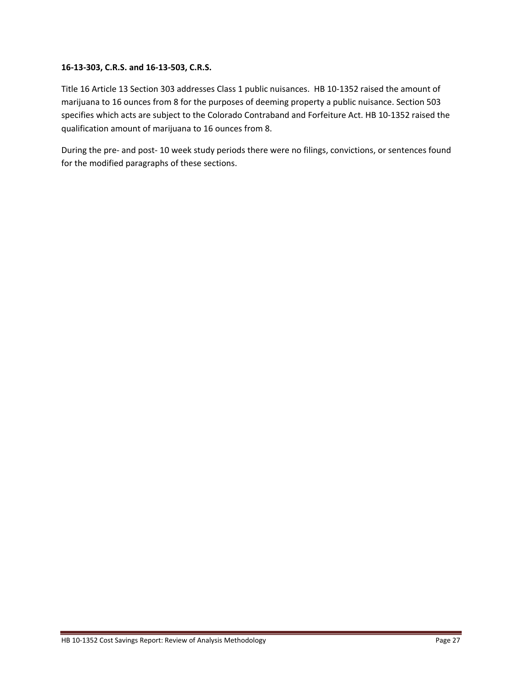#### **16‐13‐303, C.R.S. and 16‐13‐503, C.R.S.**

Title 16 Article 13 Section 303 addresses Class 1 public nuisances. HB 10‐1352 raised the amount of marijuana to 16 ounces from 8 for the purposes of deeming property a public nuisance. Section 503 specifies which acts are subject to the Colorado Contraband and Forfeiture Act. HB 10‐1352 raised the qualification amount of marijuana to 16 ounces from 8.

During the pre- and post-10 week study periods there were no filings, convictions, or sentences found for the modified paragraphs of these sections.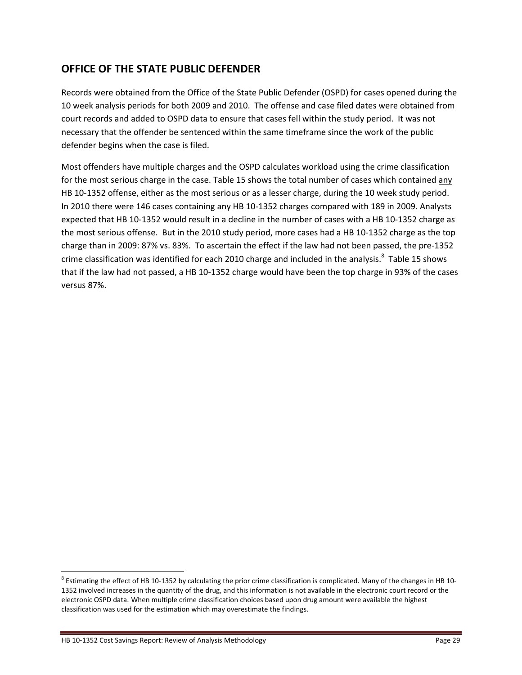## **OFFICE OF THE STATE PUBLIC DEFENDER**

Records were obtained from the Office of the State Public Defender (OSPD) for cases opened during the 10 week analysis periods for both 2009 and 2010. The offense and case filed dates were obtained from court records and added to OSPD data to ensure that cases fell within the study period. It was not necessary that the offender be sentenced within the same timeframe since the work of the public defender begins when the case is filed.

Most offenders have multiple charges and the OSPD calculates workload using the crime classification for the most serious charge in the case. Table 15 shows the total number of cases which contained any HB 10-1352 offense, either as the most serious or as a lesser charge, during the 10 week study period. In 2010 there were 146 cases containing any HB 10‐1352 charges compared with 189 in 2009. Analysts expected that HB 10‐1352 would result in a decline in the number of cases with a HB 10‐1352 charge as the most serious offense. But in the 2010 study period, more cases had a HB 10‐1352 charge as the top charge than in 2009: 87% vs. 83%. To ascertain the effect if the law had not been passed, the pre‐1352 crime classification was identified for each 2010 charge and included in the analysis. $^8$  Table 15 shows that if the law had not passed, a HB 10‐1352 charge would have been the top charge in 93% of the cases versus 87%.

<sup>&</sup>lt;sup>8</sup> Estimating the effect of HB 10-1352 by calculating the prior crime classification is complicated. Many of the changes in HB 10-1352 involved increases in the quantity of the drug, and this information is not available in the electronic court record or the electronic OSPD data. When multiple crime classification choices based upon drug amount were available the highest classification was used for the estimation which may overestimate the findings.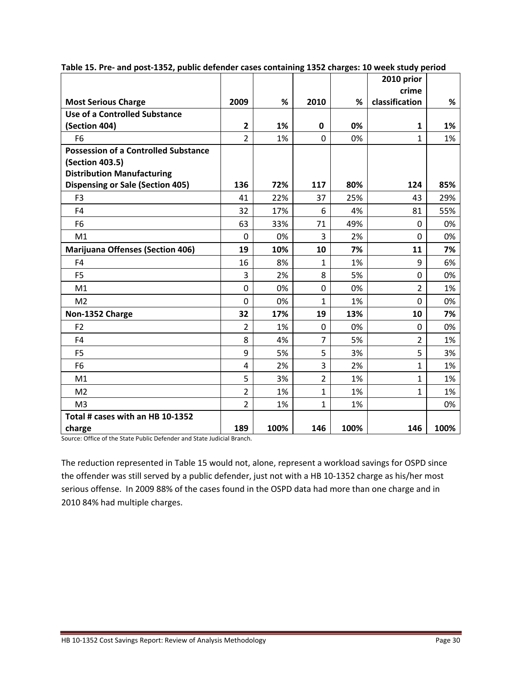|                                                                    |                |      |                |      | 2010 prior              |      |
|--------------------------------------------------------------------|----------------|------|----------------|------|-------------------------|------|
|                                                                    | 2009           | %    | 2010           |      | crime<br>classification |      |
| <b>Most Serious Charge</b><br><b>Use of a Controlled Substance</b> |                |      |                | %    |                         | %    |
| (Section 404)                                                      | $\overline{2}$ | 1%   | $\mathbf 0$    | 0%   | 1                       | 1%   |
| F <sub>6</sub>                                                     | 2              | 1%   | $\mathbf{0}$   | 0%   | $\mathbf{1}$            | 1%   |
| <b>Possession of a Controlled Substance</b>                        |                |      |                |      |                         |      |
| (Section 403.5)                                                    |                |      |                |      |                         |      |
| <b>Distribution Manufacturing</b>                                  |                |      |                |      |                         |      |
| <b>Dispensing or Sale (Section 405)</b>                            | 136            | 72%  | 117            | 80%  | 124                     | 85%  |
| F <sub>3</sub>                                                     | 41             | 22%  | 37             | 25%  | 43                      | 29%  |
| F <sub>4</sub>                                                     | 32             | 17%  | 6              | 4%   | 81                      | 55%  |
| F <sub>6</sub>                                                     | 63             | 33%  | 71             | 49%  | 0                       | 0%   |
| M1                                                                 | $\mathbf 0$    | 0%   | $\overline{3}$ | 2%   | $\overline{0}$          | 0%   |
| <b>Marijuana Offenses (Section 406)</b>                            | 19             | 10%  | 10             | 7%   | 11                      | 7%   |
| F4                                                                 | 16             | 8%   | 1              | 1%   | 9                       | 6%   |
| F <sub>5</sub>                                                     | 3              | 2%   | 8              | 5%   | $\overline{0}$          | 0%   |
| M1                                                                 | $\mathbf 0$    | 0%   | $\mathbf{0}$   | 0%   | $\overline{2}$          | 1%   |
| M <sub>2</sub>                                                     | 0              | 0%   | 1              | 1%   | $\Omega$                | 0%   |
| Non-1352 Charge                                                    | 32             | 17%  | 19             | 13%  | 10                      | 7%   |
| F <sub>2</sub>                                                     | $\overline{2}$ | 1%   | $\Omega$       | 0%   | 0                       | 0%   |
| F <sub>4</sub>                                                     | 8              | 4%   | $\overline{7}$ | 5%   | $\overline{2}$          | 1%   |
| F <sub>5</sub>                                                     | 9              | 5%   | 5              | 3%   | 5                       | 3%   |
| F <sub>6</sub>                                                     | $\overline{4}$ | 2%   | 3              | 2%   | 1                       | 1%   |
| M1                                                                 | 5              | 3%   | $\overline{2}$ | 1%   | $\mathbf{1}$            | 1%   |
| M <sub>2</sub>                                                     | $\overline{2}$ | 1%   | $\mathbf{1}$   | 1%   | $\mathbf{1}$            | 1%   |
| M <sub>3</sub>                                                     | $\overline{2}$ | 1%   | $\mathbf{1}$   | 1%   |                         | 0%   |
| Total # cases with an HB 10-1352                                   |                |      |                |      |                         |      |
| charge                                                             | 189            | 100% | 146            | 100% | 146                     | 100% |

**Table 15. Pre‐ and post‐1352, public defender cases containing 1352 charges: 10 week study period**

Source: Office of the State Public Defender and State Judicial Branch.

The reduction represented in Table 15 would not, alone, represent a workload savings for OSPD since the offender was still served by a public defender, just not with a HB 10‐1352 charge as his/her most serious offense. In 2009 88% of the cases found in the OSPD data had more than one charge and in 2010 84% had multiple charges.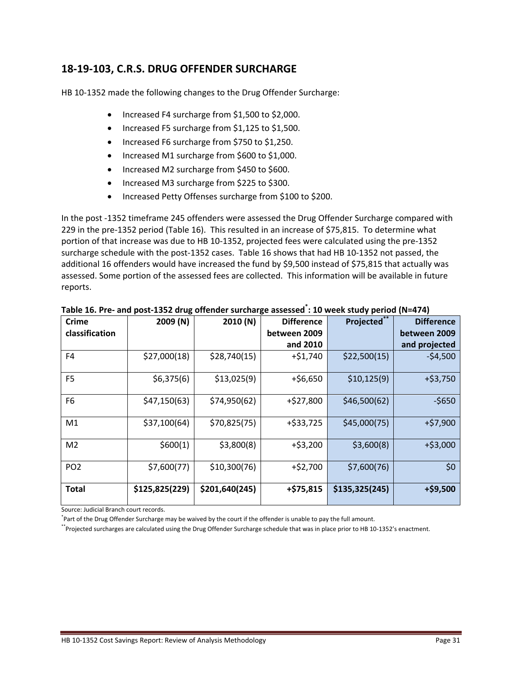## **18‐19‐103, C.R.S. DRUG OFFENDER SURCHARGE**

HB 10-1352 made the following changes to the Drug Offender Surcharge:

- Increased F4 surcharge from \$1,500 to \$2,000.
- Increased F5 surcharge from \$1,125 to \$1,500.
- Increased F6 surcharge from \$750 to \$1,250.
- Increased M1 surcharge from \$600 to \$1,000.
- Increased M2 surcharge from \$450 to \$600.
- Increased M3 surcharge from \$225 to \$300.
- Increased Petty Offenses surcharge from \$100 to \$200.

In the post ‐1352 timeframe 245 offenders were assessed the Drug Offender Surcharge compared with 229 in the pre‐1352 period (Table 16). This resulted in an increase of \$75,815. To determine what portion of that increase was due to HB 10‐1352, projected fees were calculated using the pre‐1352 surcharge schedule with the post‐1352 cases. Table 16 shows that had HB 10‐1352 not passed, the additional 16 offenders would have increased the fund by \$9,500 instead of \$75,815 that actually was assessed. Some portion of the assessed fees are collected. This information will be available in future reports.

| <b>Crime</b>    | 2009 (N)       | 2010 (N)       | <b>Difference</b> | <b>Projected</b> | <b>Difference</b> |
|-----------------|----------------|----------------|-------------------|------------------|-------------------|
| classification  |                |                | between 2009      |                  | between 2009      |
|                 |                |                | and 2010          |                  | and projected     |
| F4              | \$27,000(18)   | \$28,740(15)   | $+ $1,740$        | \$22,500(15)     | $-54,500$         |
| F <sub>5</sub>  | \$6,375(6)     | \$13,025(9)    | $+$ \$6,650       | \$10,125(9)      | $+ $3,750$        |
| F <sub>6</sub>  | \$47,150(63)   | \$74,950(62)   | $+$ \$27,800      | \$46,500(62)     | $-5650$           |
| M1              | \$37,100(64)   | \$70,825(75)   | $+$ \$33,725      | \$45,000(75)     | $+ $7,900$        |
| M <sub>2</sub>  | \$600(1)       | \$3,800(8)     | $+$ \$3,200       | \$3,600(8)       | $+$ \$3,000       |
| PO <sub>2</sub> | \$7,600(77)    | \$10,300(76)   | $+ $2,700$        | \$7,600(76)      | \$0               |
| Total           | \$125,825(229) | \$201,640(245) | $+ $75,815$       | \$135,325(245)   | $+ $9,500$        |

Table 16. Pre- and post-1352 drug offender surcharge assessed<sup>\*</sup>: 10 week study period (N=474)

Source: Judicial Branch court records.

\* Part of the Drug Offender Surcharge may be waived by the court if the offender is unable to pay the full amount.

\*\*Projected surcharges are calculated using the Drug Offender Surcharge schedule that was in place prior to HB 10‐1352's enactment.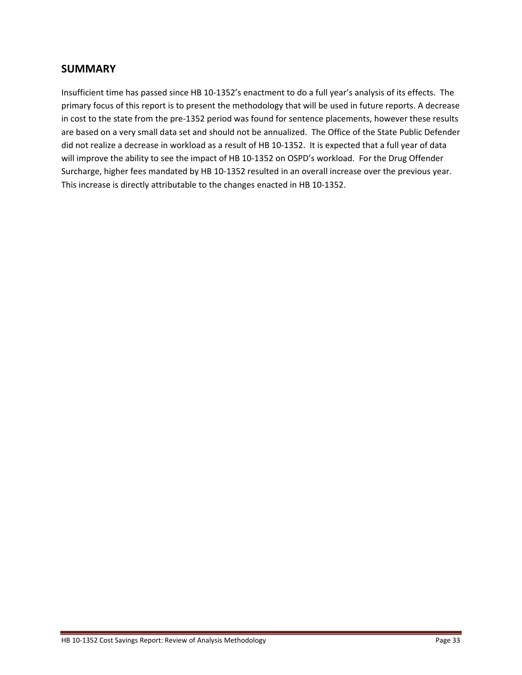## **SUMMARY**

Insufficient time has passed since HB 10‐1352's enactment to do a full year's analysis of its effects. The primary focus of this report is to present the methodology that will be used in future reports. A decrease in cost to the state from the pre‐1352 period was found for sentence placements, however these results are based on a very small data set and should not be annualized. The Office of the State Public Defender did not realize a decrease in workload as a result of HB 10‐1352. It is expected that a full year of data will improve the ability to see the impact of HB 10-1352 on OSPD's workload. For the Drug Offender Surcharge, higher fees mandated by HB 10‐1352 resulted in an overall increase over the previous year. This increase is directly attributable to the changes enacted in HB 10‐1352.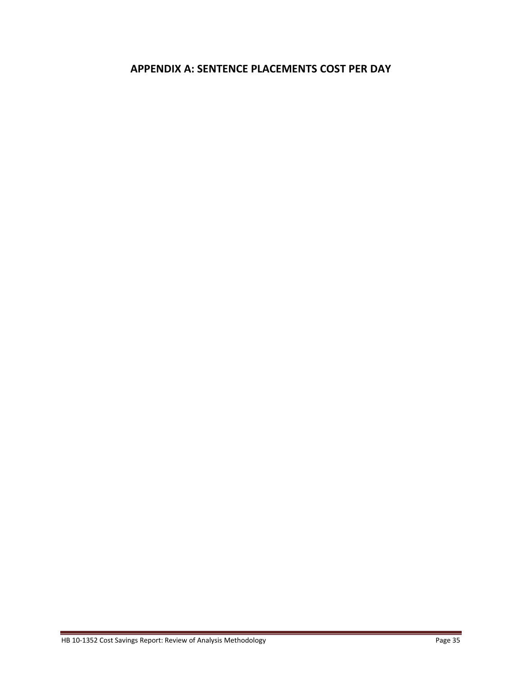## **APPENDIX A: SENTENCE PLACEMENTS COST PER DAY**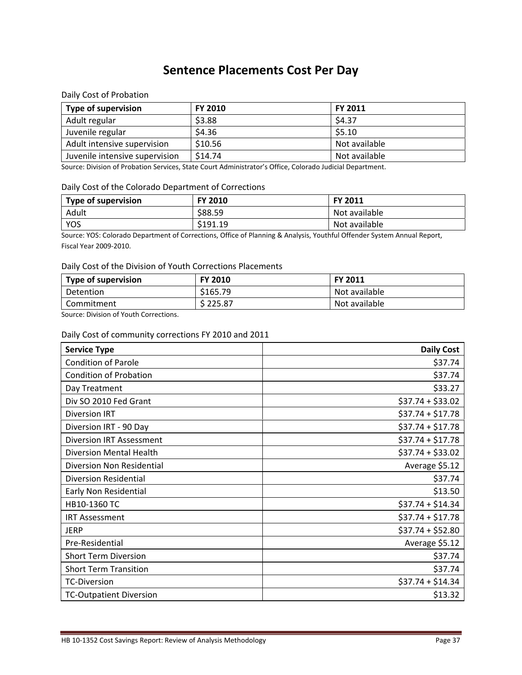## **Sentence Placements Cost Per Day**

Daily Cost of Probation

| <b>Type of supervision</b>     | <b>FY 2010</b> | <b>FY 2011</b> |
|--------------------------------|----------------|----------------|
| Adult regular                  | \$3.88         | \$4.37         |
| Juvenile regular               | \$4.36         | \$5.10         |
| Adult intensive supervision    | \$10.56        | Not available  |
| Juvenile intensive supervision | \$14.74        | Not available  |

Source: Division of Probation Services, State Court Administrator's Office, Colorado Judicial Department.

#### Daily Cost of the Colorado Department of Corrections

| <b>Type of supervision</b> | <b>FY 2010</b> | <b>FY 2011</b> |
|----------------------------|----------------|----------------|
| Adult                      | \$88.59        | Not available  |
| <b>YOS</b>                 | \$191.19       | Not available  |

Source: YOS: Colorado Department of Corrections, Office of Planning & Analysis, Youthful Offender System Annual Report, Fiscal Year 2009‐2010.

#### Daily Cost of the Division of Youth Corrections Placements

| <b>Type of supervision</b> | <b>FY 2010</b> | <b>FY 2011</b> |
|----------------------------|----------------|----------------|
| Detention                  | \$165.79       | Not available  |
| Commitment                 | \$225.87       | Not available  |

Source: Division of Youth Corrections.

#### Daily Cost of community corrections FY 2010 and 2011

| <b>Service Type</b>             | <b>Daily Cost</b> |
|---------------------------------|-------------------|
| <b>Condition of Parole</b>      | \$37.74           |
| <b>Condition of Probation</b>   | \$37.74           |
| Day Treatment                   | \$33.27           |
| Div SO 2010 Fed Grant           | $$37.74 + $33.02$ |
| <b>Diversion IRT</b>            | $$37.74 + $17.78$ |
| Diversion IRT - 90 Day          | $$37.74 + $17.78$ |
| <b>Diversion IRT Assessment</b> | $$37.74 + $17.78$ |
| <b>Diversion Mental Health</b>  | $$37.74 + $33.02$ |
| Diversion Non Residential       | Average \$5.12    |
| <b>Diversion Residential</b>    | \$37.74           |
| Early Non Residential           | \$13.50           |
| HB10-1360 TC                    | $$37.74 + $14.34$ |
| <b>IRT Assessment</b>           | $$37.74 + $17.78$ |
| JERP                            | $$37.74 + $52.80$ |
| Pre-Residential                 | Average \$5.12    |
| <b>Short Term Diversion</b>     | \$37.74           |
| <b>Short Term Transition</b>    | \$37.74           |
| <b>TC-Diversion</b>             | $$37.74 + $14.34$ |
| <b>TC-Outpatient Diversion</b>  | \$13.32           |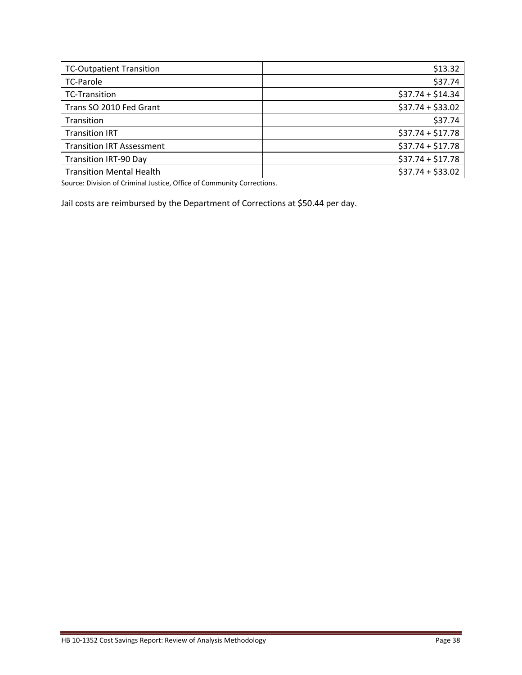| <b>TC-Outpatient Transition</b>  | \$13.32           |
|----------------------------------|-------------------|
| <b>TC-Parole</b>                 | \$37.74           |
| <b>TC-Transition</b>             | $$37.74 + $14.34$ |
| Trans SO 2010 Fed Grant          | $$37.74 + $33.02$ |
| Transition                       | \$37.74           |
| <b>Transition IRT</b>            | $$37.74 + $17.78$ |
| <b>Transition IRT Assessment</b> | $$37.74 + $17.78$ |
| <b>Transition IRT-90 Day</b>     | $$37.74 + $17.78$ |
| <b>Transition Mental Health</b>  | $$37.74 + $33.02$ |

Source: Division of Criminal Justice, Office of Community Corrections.

Jail costs are reimbursed by the Department of Corrections at \$50.44 per day.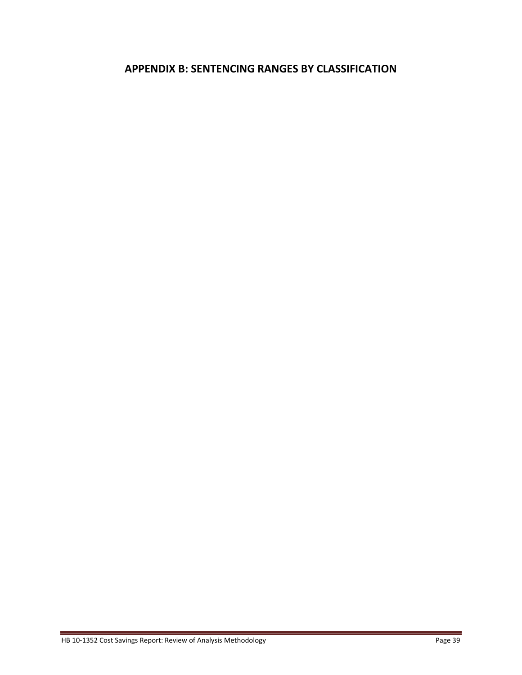## **APPENDIX B: SENTENCING RANGES BY CLASSIFICATION**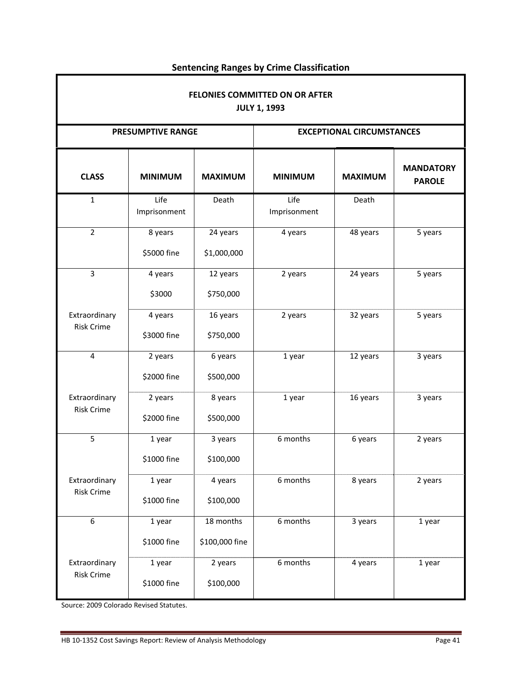| FELONIES COMMITTED ON OR AFTER<br><b>JULY 1, 1993</b> |                          |                             |                                  |                |                                   |  |  |  |
|-------------------------------------------------------|--------------------------|-----------------------------|----------------------------------|----------------|-----------------------------------|--|--|--|
|                                                       | <b>PRESUMPTIVE RANGE</b> |                             | <b>EXCEPTIONAL CIRCUMSTANCES</b> |                |                                   |  |  |  |
| <b>CLASS</b>                                          | <b>MINIMUM</b>           | <b>MAXIMUM</b>              | <b>MINIMUM</b>                   | <b>MAXIMUM</b> | <b>MANDATORY</b><br><b>PAROLE</b> |  |  |  |
| $\mathbf{1}$                                          | Life<br>Imprisonment     | Death                       | Life<br>Imprisonment             | Death          |                                   |  |  |  |
| $\overline{2}$                                        | 8 years<br>\$5000 fine   | 24 years<br>\$1,000,000     | 4 years                          | 48 years       | 5 years                           |  |  |  |
| $\overline{3}$                                        | 4 years<br>\$3000        | 12 years<br>\$750,000       | 2 years                          | 24 years       | 5 years                           |  |  |  |
| Extraordinary<br><b>Risk Crime</b>                    | 4 years<br>\$3000 fine   | 16 years<br>\$750,000       | 2 years                          | 32 years       | 5 years                           |  |  |  |
| $\overline{4}$                                        | 2 years<br>\$2000 fine   | 6 years<br>\$500,000        | 1 year                           | 12 years       | 3 years                           |  |  |  |
| Extraordinary<br><b>Risk Crime</b>                    | 2 years<br>\$2000 fine   | 8 years<br>\$500,000        | 1 year                           | 16 years       | 3 years                           |  |  |  |
| 5                                                     | 1 year<br>\$1000 fine    | 3 years<br>\$100,000        | 6 months                         | 6 years        | 2 years                           |  |  |  |
| Extraordinary<br><b>Risk Crime</b>                    | 1 year<br>\$1000 fine    | 4 years<br>\$100,000        | 6 months                         | 8 years        | 2 years                           |  |  |  |
| 6                                                     | 1 year<br>\$1000 fine    | 18 months<br>\$100,000 fine | 6 months                         | 3 years        | 1 year                            |  |  |  |
| Extraordinary<br><b>Risk Crime</b>                    | 1 year<br>\$1000 fine    | 2 years<br>\$100,000        | 6 months                         | 4 years        | 1 year                            |  |  |  |

## **Sentencing Ranges by Crime Classification**

Source: 2009 Colorado Revised Statutes.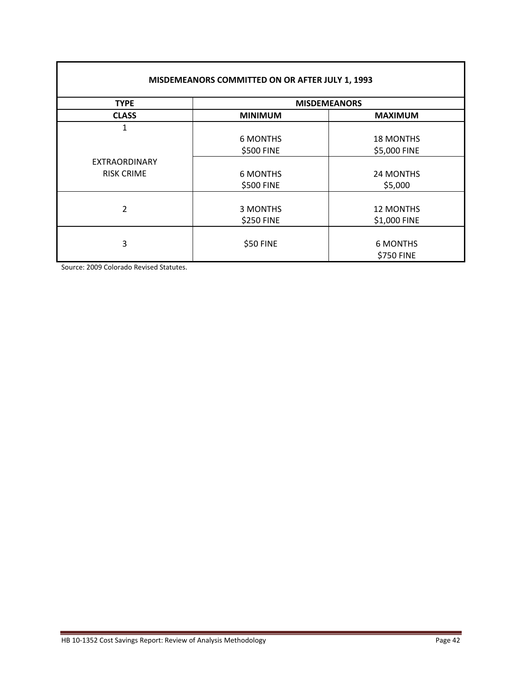| MISDEMEANORS COMMITTED ON OR AFTER JULY 1, 1993 |                 |                     |  |  |  |  |  |  |
|-------------------------------------------------|-----------------|---------------------|--|--|--|--|--|--|
| <b>TYPE</b>                                     |                 | <b>MISDEMEANORS</b> |  |  |  |  |  |  |
| <b>CLASS</b>                                    | <b>MINIMUM</b>  | <b>MAXIMUM</b>      |  |  |  |  |  |  |
| 1                                               |                 |                     |  |  |  |  |  |  |
|                                                 | <b>6 MONTHS</b> | <b>18 MONTHS</b>    |  |  |  |  |  |  |
|                                                 | \$500 FINE      | \$5,000 FINE        |  |  |  |  |  |  |
| <b>EXTRAORDINARY</b>                            |                 |                     |  |  |  |  |  |  |
| <b>RISK CRIME</b>                               | <b>6 MONTHS</b> | 24 MONTHS           |  |  |  |  |  |  |
|                                                 | \$500 FINE      | \$5,000             |  |  |  |  |  |  |
|                                                 |                 |                     |  |  |  |  |  |  |
| $\overline{2}$                                  | 3 MONTHS        | <b>12 MONTHS</b>    |  |  |  |  |  |  |
|                                                 | \$250 FINE      | \$1,000 FINE        |  |  |  |  |  |  |
|                                                 |                 |                     |  |  |  |  |  |  |
| 3                                               | \$50 FINE       | <b>6 MONTHS</b>     |  |  |  |  |  |  |
|                                                 |                 | \$750 FINE          |  |  |  |  |  |  |

Source: 2009 Colorado Revised Statutes.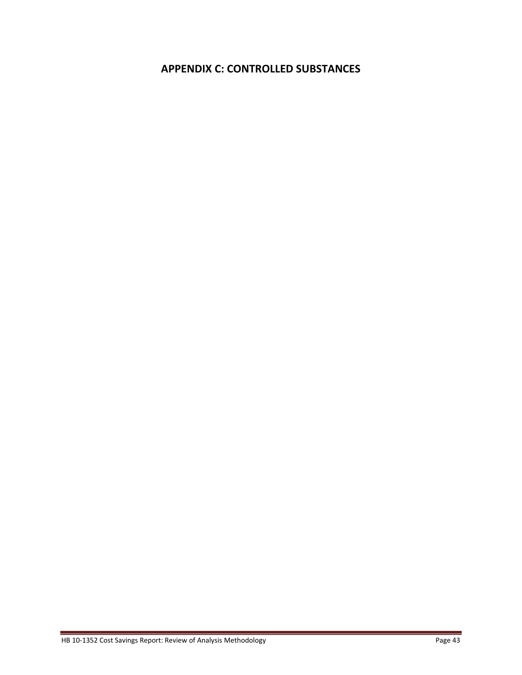## **APPENDIX C: CONTROLLED SUBSTANCES**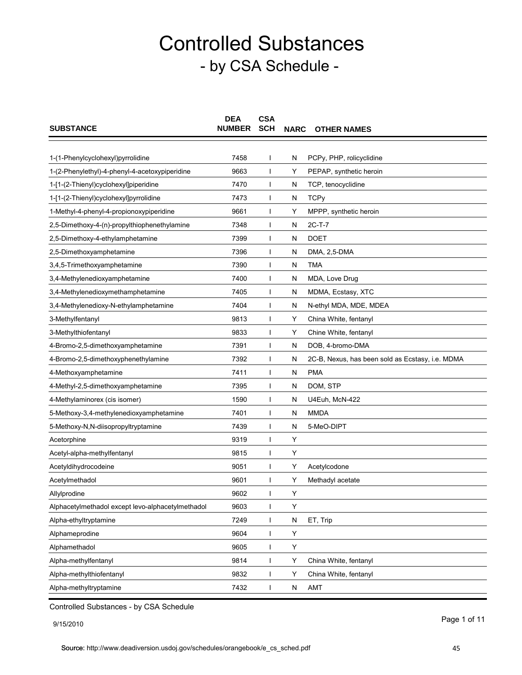| <b>SUBSTANCE</b>                                  | <b>DEA</b><br><b>NUMBER</b> | <b>CSA</b><br><b>SCH</b> | <b>NARC</b> | <b>OTHER NAMES</b>                               |
|---------------------------------------------------|-----------------------------|--------------------------|-------------|--------------------------------------------------|
|                                                   |                             |                          |             |                                                  |
| 1-(1-Phenylcyclohexyl)pyrrolidine                 | 7458                        |                          | N           | PCPy, PHP, rolicyclidine                         |
| 1-(2-Phenylethyl)-4-phenyl-4-acetoxypiperidine    | 9663                        |                          | Y           | PEPAP, synthetic heroin                          |
| 1-[1-(2-Thienyl)cyclohexyl]piperidine             | 7470                        |                          | N           | TCP, tenocyclidine                               |
| 1-[1-(2-Thienyl)cyclohexyl]pyrrolidine            | 7473                        | $\mathbf{I}$             | N           | <b>TCPy</b>                                      |
| 1-Methyl-4-phenyl-4-propionoxypiperidine          | 9661                        |                          | Y           | MPPP, synthetic heroin                           |
| 2,5-Dimethoxy-4-(n)-propylthiophenethylamine      | 7348                        |                          | N           | 2C-T-7                                           |
| 2,5-Dimethoxy-4-ethylamphetamine                  | 7399                        |                          | N           | <b>DOET</b>                                      |
| 2,5-Dimethoxyamphetamine                          | 7396                        |                          | N           | DMA, 2,5-DMA                                     |
| 3,4,5-Trimethoxyamphetamine                       | 7390                        |                          | N           | TMA                                              |
| 3,4-Methylenedioxyamphetamine                     | 7400                        |                          | N           | MDA, Love Drug                                   |
| 3,4-Methylenedioxymethamphetamine                 | 7405                        |                          | N           | MDMA, Ecstasy, XTC                               |
| 3,4-Methylenedioxy-N-ethylamphetamine             | 7404                        |                          | N           | N-ethyl MDA, MDE, MDEA                           |
| 3-Methylfentanyl                                  | 9813                        |                          | Y           | China White, fentanyl                            |
| 3-Methylthiofentanyl                              | 9833                        |                          | Y           | Chine White, fentanyl                            |
| 4-Bromo-2,5-dimethoxyamphetamine                  | 7391                        |                          | N           | DOB, 4-bromo-DMA                                 |
| 4-Bromo-2,5-dimethoxyphenethylamine               | 7392                        |                          | N           | 2C-B, Nexus, has been sold as Ecstasy, i.e. MDMA |
| 4-Methoxyamphetamine                              | 7411                        |                          | N           | <b>PMA</b>                                       |
| 4-Methyl-2,5-dimethoxyamphetamine                 | 7395                        |                          | N           | DOM, STP                                         |
| 4-Methylaminorex (cis isomer)                     | 1590                        |                          | N           | U4Euh, McN-422                                   |
| 5-Methoxy-3,4-methylenedioxyamphetamine           | 7401                        |                          | N           | <b>MMDA</b>                                      |
| 5-Methoxy-N, N-diisopropyltryptamine              | 7439                        |                          | N           | 5-MeO-DIPT                                       |
| Acetorphine                                       | 9319                        |                          | Y           |                                                  |
| Acetyl-alpha-methylfentanyl                       | 9815                        |                          | Υ           |                                                  |
| Acetyldihydrocodeine                              | 9051                        |                          | Y           | Acetylcodone                                     |
| Acetylmethadol                                    | 9601                        |                          | Y           | Methadyl acetate                                 |
| Allylprodine                                      | 9602                        |                          | Y           |                                                  |
| Alphacetylmethadol except levo-alphacetylmethadol | 9603                        |                          | Υ           |                                                  |
| Alpha-ethyltryptamine                             | 7249                        | L                        | N           | ET, Trip                                         |
| Alphameprodine                                    | 9604                        |                          | Υ           |                                                  |
| Alphamethadol                                     | 9605                        |                          | Υ           |                                                  |
| Alpha-methylfentanyl                              | 9814                        |                          | Υ           | China White, fentanyl                            |
| Alpha-methylthiofentanyl                          | 9832                        |                          | Υ           | China White, fentanyl                            |
| Alpha-methyltryptamine                            | 7432                        |                          | N           | AMT                                              |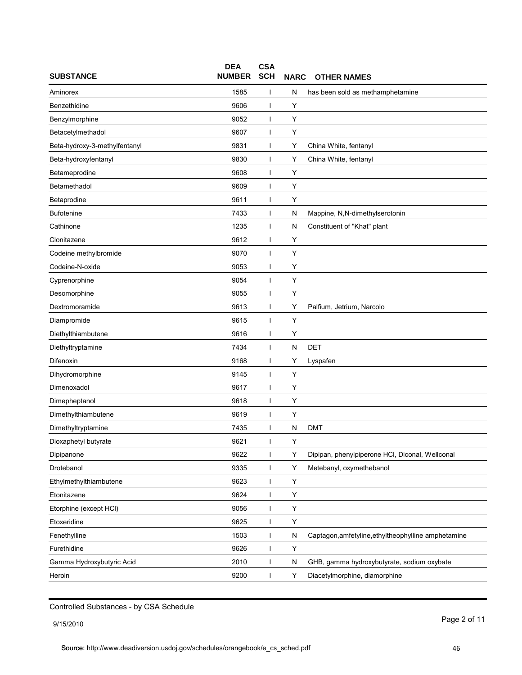| <b>SUBSTANCE</b>              | <b>DEA</b><br><b>NUMBER</b> | <b>CSA</b><br><b>SCH</b> | <b>NARC</b> | <b>OTHER NAMES</b>                                  |
|-------------------------------|-----------------------------|--------------------------|-------------|-----------------------------------------------------|
| Aminorex                      | 1585                        |                          | N           | has been sold as methamphetamine                    |
| Benzethidine                  | 9606                        |                          | Υ           |                                                     |
| Benzylmorphine                | 9052                        |                          | Y           |                                                     |
| Betacetylmethadol             | 9607                        |                          | Υ           |                                                     |
| Beta-hydroxy-3-methylfentanyl | 9831                        |                          | Υ           | China White, fentanyl                               |
| Beta-hydroxyfentanyl          | 9830                        |                          | Υ           | China White, fentanyl                               |
| Betameprodine                 | 9608                        |                          | Y           |                                                     |
| Betamethadol                  | 9609                        |                          | Υ           |                                                     |
| Betaprodine                   | 9611                        |                          | Y           |                                                     |
| Bufotenine                    | 7433                        |                          | N           | Mappine, N,N-dimethylserotonin                      |
| Cathinone                     | 1235                        | J.                       | N           | Constituent of "Khat" plant                         |
| Clonitazene                   | 9612                        |                          | Υ           |                                                     |
| Codeine methylbromide         | 9070                        |                          | Y           |                                                     |
| Codeine-N-oxide               | 9053                        |                          | Y           |                                                     |
| Cyprenorphine                 | 9054                        |                          | Y           |                                                     |
| Desomorphine                  | 9055                        |                          | Υ           |                                                     |
| Dextromoramide                | 9613                        |                          | Y           | Palfium, Jetrium, Narcolo                           |
| Diampromide                   | 9615                        |                          | Υ           |                                                     |
| Diethylthiambutene            | 9616                        | J.                       | Y           |                                                     |
| Diethyltryptamine             | 7434                        |                          | N           | <b>DET</b>                                          |
| Difenoxin                     | 9168                        |                          | Y           | Lyspafen                                            |
| Dihydromorphine               | 9145                        |                          | Y           |                                                     |
| Dimenoxadol                   | 9617                        |                          | Y           |                                                     |
| Dimepheptanol                 | 9618                        |                          | Υ           |                                                     |
| Dimethylthiambutene           | 9619                        |                          | Y           |                                                     |
| Dimethyltryptamine            | 7435                        |                          | N           | <b>DMT</b>                                          |
| Dioxaphetyl butyrate          | 9621                        | ı                        | Y           |                                                     |
| Dipipanone                    | 9622                        | $\mathbf{I}$             | Υ           | Dipipan, phenylpiperone HCI, Diconal, Wellconal     |
| Drotebanol                    | 9335                        | $\mathbf{I}$             | Υ           | Metebanyl, oxymethebanol                            |
| Ethylmethylthiambutene        | 9623                        | $\mathbf{I}$             | Υ           |                                                     |
| Etonitazene                   | 9624                        | $\mathbf{I}$             | Υ           |                                                     |
| Etorphine (except HCI)        | 9056                        |                          | Υ           |                                                     |
| Etoxeridine                   | 9625                        | ı                        | Υ           |                                                     |
| Fenethylline                  | 1503                        |                          | N           | Captagon, amfetyline, ethyltheophylline amphetamine |
| Furethidine                   | 9626                        | I                        | Υ           |                                                     |
| Gamma Hydroxybutyric Acid     | 2010                        | $\mathbf{I}$             | N           | GHB, gamma hydroxybutyrate, sodium oxybate          |
| Heroin                        | 9200                        | ı                        | Υ           | Diacetylmorphine, diamorphine                       |

9/15/2010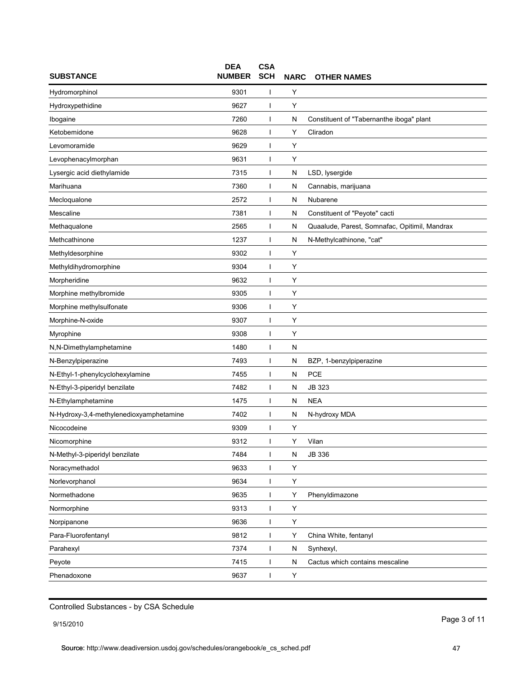| <b>SUBSTANCE</b>                        | <b>DEA</b><br><b>NUMBER</b> | <b>CSA</b><br><b>SCH</b> | <b>NARC</b> | <b>OTHER NAMES</b>                            |
|-----------------------------------------|-----------------------------|--------------------------|-------------|-----------------------------------------------|
| Hydromorphinol                          | 9301                        |                          | Y           |                                               |
| Hydroxypethidine                        | 9627                        | ı                        | Υ           |                                               |
| Ibogaine                                | 7260                        | I                        | N           | Constituent of "Tabernanthe iboga" plant      |
| Ketobemidone                            | 9628                        | I                        | Y           | Cliradon                                      |
| Levomoramide                            | 9629                        | ı                        | Y           |                                               |
| Levophenacylmorphan                     | 9631                        | ı                        | Υ           |                                               |
| Lysergic acid diethylamide              | 7315                        | ı                        | N           | LSD, lysergide                                |
| Marihuana                               | 7360                        |                          | N           | Cannabis, marijuana                           |
| Mecloqualone                            | 2572                        | I                        | N           | Nubarene                                      |
| Mescaline                               | 7381                        |                          | N           | Constituent of "Peyote" cacti                 |
| Methaqualone                            | 2565                        | ı                        | N           | Quaalude, Parest, Somnafac, Opitimil, Mandrax |
| Methcathinone                           | 1237                        | ı                        | N           | N-Methylcathinone, "cat"                      |
| Methyldesorphine                        | 9302                        |                          | Y           |                                               |
| Methyldihydromorphine                   | 9304                        |                          | Υ           |                                               |
| Morpheridine                            | 9632                        | I                        | Υ           |                                               |
| Morphine methylbromide                  | 9305                        |                          | Υ           |                                               |
| Morphine methylsulfonate                | 9306                        | ı                        | Y           |                                               |
| Morphine-N-oxide                        | 9307                        |                          | Υ           |                                               |
| Myrophine                               | 9308                        | ı                        | Υ           |                                               |
| N,N-Dimethylamphetamine                 | 1480                        |                          | N           |                                               |
| N-Benzylpiperazine                      | 7493                        |                          | N           | BZP, 1-benzylpiperazine                       |
| N-Ethyl-1-phenylcyclohexylamine         | 7455                        | ı                        | N           | <b>PCE</b>                                    |
| N-Ethyl-3-piperidyl benzilate           | 7482                        | I                        | N           | JB 323                                        |
| N-Ethylamphetamine                      | 1475                        |                          | N           | <b>NEA</b>                                    |
| N-Hydroxy-3,4-methylenedioxyamphetamine | 7402                        | I                        | N           | N-hydroxy MDA                                 |
| Nicocodeine                             | 9309                        |                          | Υ           |                                               |
| Nicomorphine                            | 9312                        | $\mathbf{I}$             | Y           | Vilan                                         |
| N-Methyl-3-piperidyl benzilate          | 7484                        | I                        | N           | JB 336                                        |
| Noracymethadol                          | 9633                        | I                        | Υ           |                                               |
| Norlevorphanol                          | 9634                        | I                        | Υ           |                                               |
| Normethadone                            | 9635                        | I                        | Υ           | Phenyldimazone                                |
| Normorphine                             | 9313                        | ı                        | Υ           |                                               |
| Norpipanone                             | 9636                        | I                        | Υ           |                                               |
| Para-Fluorofentanyl                     | 9812                        |                          | Υ           | China White, fentanyl                         |
| Parahexyl                               | 7374                        | $\mathbf{I}$             | N           | Synhexyl,                                     |
| Peyote                                  | 7415                        | L                        | N           | Cactus which contains mescaline               |
| Phenadoxone                             | 9637                        | I                        | Υ           |                                               |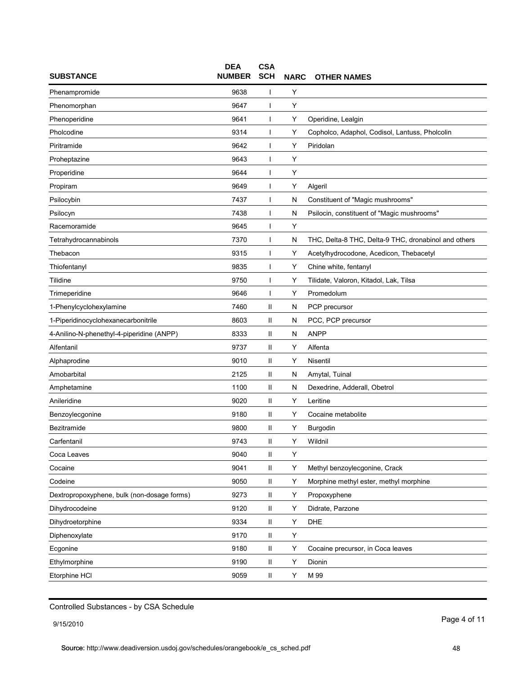| <b>SUBSTANCE</b>                            | <b>DEA</b><br><b>NUMBER</b> | <b>CSA</b><br><b>SCH</b> | <b>NARC</b> | <b>OTHER NAMES</b>                                   |
|---------------------------------------------|-----------------------------|--------------------------|-------------|------------------------------------------------------|
| Phenampromide                               | 9638                        |                          | Υ           |                                                      |
| Phenomorphan                                | 9647                        |                          | Υ           |                                                      |
| Phenoperidine                               | 9641                        |                          | Υ           | Operidine, Lealgin                                   |
| Pholcodine                                  | 9314                        |                          | Y           | Copholco, Adaphol, Codisol, Lantuss, Pholcolin       |
| Piritramide                                 | 9642                        |                          | Y           | Piridolan                                            |
| Proheptazine                                | 9643                        |                          | Y           |                                                      |
| Properidine                                 | 9644                        |                          | Υ           |                                                      |
| Propiram                                    | 9649                        |                          | Y           | Algeril                                              |
| Psilocybin                                  | 7437                        |                          | N           | Constituent of "Magic mushrooms"                     |
| Psilocyn                                    | 7438                        |                          | N           | Psilocin, constituent of "Magic mushrooms"           |
| Racemoramide                                | 9645                        |                          | Υ           |                                                      |
| Tetrahydrocannabinols                       | 7370                        |                          | N           | THC, Delta-8 THC, Delta-9 THC, dronabinol and others |
| Thebacon                                    | 9315                        |                          | Υ           | Acetylhydrocodone, Acedicon, Thebacetyl              |
| Thiofentanyl                                | 9835                        |                          | Y           | Chine white, fentanyl                                |
| Tilidine                                    | 9750                        |                          | Υ           | Tilidate, Valoron, Kitadol, Lak, Tilsa               |
| Trimeperidine                               | 9646                        |                          | Y           | Promedolum                                           |
| 1-Phenylcyclohexylamine                     | 7460                        | Ш                        | N           | PCP precursor                                        |
| 1-Piperidinocyclohexanecarbonitrile         | 8603                        | Ш                        | N           | PCC, PCP precursor                                   |
| 4-Anilino-N-phenethyl-4-piperidine (ANPP)   | 8333                        | Ш                        | N           | <b>ANPP</b>                                          |
| Alfentanil                                  | 9737                        | Ш                        | Y           | Alfenta                                              |
| Alphaprodine                                | 9010                        | Ш                        | Y           | Nisentil                                             |
| Amobarbital                                 | 2125                        | Ш                        | N           | Amytal, Tuinal                                       |
| Amphetamine                                 | 1100                        | Ш                        | N           | Dexedrine, Adderall, Obetrol                         |
| Anileridine                                 | 9020                        | Ш                        | Y           | Leritine                                             |
| Benzoylecgonine                             | 9180                        | Ш                        | Y           | Cocaine metabolite                                   |
| Bezitramide                                 | 9800                        | Ш                        | Y           | Burgodin                                             |
| Carfentanil                                 | 9743                        | Ш                        | Y           | Wildnil                                              |
| Coca Leaves                                 | 9040                        | Ш                        | Υ           |                                                      |
| Cocaine                                     | 9041                        | Ш                        | Υ           | Methyl benzoylecgonine, Crack                        |
| Codeine                                     | 9050                        | Ш                        | Y           | Morphine methyl ester, methyl morphine               |
| Dextropropoxyphene, bulk (non-dosage forms) | 9273                        | Ш                        | Υ           | Propoxyphene                                         |
| Dihydrocodeine                              | 9120                        | Ш                        | Y           | Didrate, Parzone                                     |
| Dihydroetorphine                            | 9334                        | Ш                        | Υ           | DHE                                                  |
| Diphenoxylate                               | 9170                        | Ш                        | Υ           |                                                      |
| Ecgonine                                    | 9180                        | Ш                        | Υ           | Cocaine precursor, in Coca leaves                    |
| Ethylmorphine                               | 9190                        | Ш                        | Υ           | Dionin                                               |
| Etorphine HCI                               | 9059                        | Ш                        | Y           | M 99                                                 |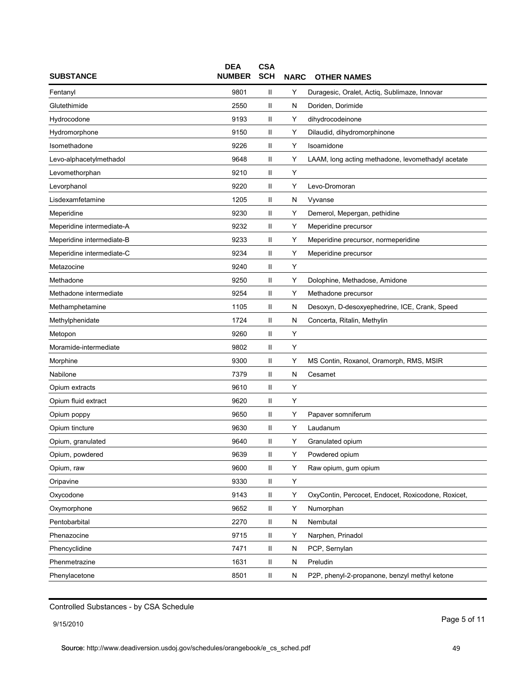| <b>SUBSTANCE</b>          | <b>DEA</b><br><b>NUMBER</b> | <b>CSA</b><br><b>SCH</b> | <b>NARC</b> | <b>OTHER NAMES</b>                                 |
|---------------------------|-----------------------------|--------------------------|-------------|----------------------------------------------------|
| Fentanyl                  | 9801                        | Ш                        | Y           | Duragesic, Oralet, Actiq, Sublimaze, Innovar       |
| Glutethimide              | 2550                        | Ш                        | N           | Doriden, Dorimide                                  |
| Hydrocodone               | 9193                        | Ш                        | Y           | dihydrocodeinone                                   |
| Hydromorphone             | 9150                        | Ш                        | Υ           | Dilaudid, dihydromorphinone                        |
| Isomethadone              | 9226                        | Ш                        | Y           | Isoamidone                                         |
| Levo-alphacetylmethadol   | 9648                        | Ш                        | Υ           | LAAM, long acting methadone, levomethadyl acetate  |
| Levomethorphan            | 9210                        | Ш                        | Υ           |                                                    |
| Levorphanol               | 9220                        | Ш                        | Y           | Levo-Dromoran                                      |
| Lisdexamfetamine          | 1205                        | Ш                        | N           | Vyvanse                                            |
| Meperidine                | 9230                        | Ш                        | Y           | Demerol, Mepergan, pethidine                       |
| Meperidine intermediate-A | 9232                        | Ш                        | Y           | Meperidine precursor                               |
| Meperidine intermediate-B | 9233                        | Ш                        | Υ           | Meperidine precursor, normeperidine                |
| Meperidine intermediate-C | 9234                        | Ш                        | Y           | Meperidine precursor                               |
| Metazocine                | 9240                        | Ш                        | Υ           |                                                    |
| Methadone                 | 9250                        | Ш                        | Υ           | Dolophine, Methadose, Amidone                      |
| Methadone intermediate    | 9254                        | Ш                        | Y           | Methadone precursor                                |
| Methamphetamine           | 1105                        | Ш                        | N           | Desoxyn, D-desoxyephedrine, ICE, Crank, Speed      |
| Methylphenidate           | 1724                        | Ш                        | N           | Concerta, Ritalin, Methylin                        |
| Metopon                   | 9260                        | Ш                        | Y           |                                                    |
| Moramide-intermediate     | 9802                        | Ш                        | Y           |                                                    |
| Morphine                  | 9300                        | Ш                        | Y           | MS Contin, Roxanol, Oramorph, RMS, MSIR            |
| Nabilone                  | 7379                        | Ш                        | N           | Cesamet                                            |
| Opium extracts            | 9610                        | Ш                        | Y           |                                                    |
| Opium fluid extract       | 9620                        | Ш                        | Υ           |                                                    |
| Opium poppy               | 9650                        | Ш                        | Y           | Papaver somniferum                                 |
| Opium tincture            | 9630                        | Ш                        | Y           | Laudanum                                           |
| Opium, granulated         | 9640                        | $\mathbf{II}$            | Y           | Granulated opium                                   |
| Opium, powdered           | 9639                        | Ш                        | Y           | Powdered opium                                     |
| Opium, raw                | 9600                        | Ш                        | Υ           | Raw opium, gum opium                               |
| Oripavine                 | 9330                        | Ш                        | Y           |                                                    |
| Oxycodone                 | 9143                        | Ш                        | Y           | OxyContin, Percocet, Endocet, Roxicodone, Roxicet, |
| Oxymorphone               | 9652                        | Ш                        | Υ           | Numorphan                                          |
| Pentobarbital             | 2270                        | Ш                        | N           | Nembutal                                           |
| Phenazocine               | 9715                        | Ш                        | Υ           | Narphen, Prinadol                                  |
| Phencyclidine             | 7471                        | Ш                        | N           | PCP, Sernylan                                      |
| Phenmetrazine             | 1631                        | Ш                        | N           | Preludin                                           |
| Phenylacetone             | 8501                        | Ш                        | N           | P2P, phenyl-2-propanone, benzyl methyl ketone      |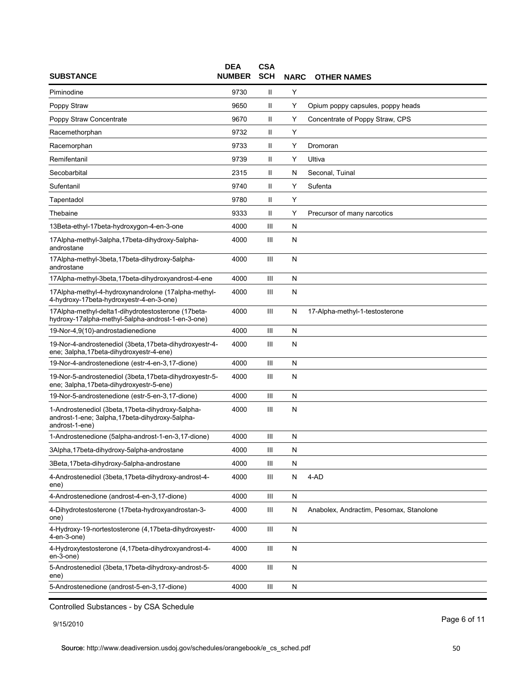| <b>SUBSTANCE</b>                                                                                                       | <b>DEA</b><br><b>NUMBER</b> | <b>CSA</b><br><b>SCH</b> | <b>NARC</b> | <b>OTHER NAMES</b>                      |
|------------------------------------------------------------------------------------------------------------------------|-----------------------------|--------------------------|-------------|-----------------------------------------|
| Piminodine                                                                                                             | 9730                        | Ш                        | Y           |                                         |
| Poppy Straw                                                                                                            | 9650                        | Ш                        | Υ           | Opium poppy capsules, poppy heads       |
| Poppy Straw Concentrate                                                                                                | 9670                        | Ш                        | Υ           | Concentrate of Poppy Straw, CPS         |
| Racemethorphan                                                                                                         | 9732                        | Ш                        | Y           |                                         |
| Racemorphan                                                                                                            | 9733                        | Ш                        | Y           | Dromoran                                |
| Remifentanil                                                                                                           | 9739                        | $\mathsf{II}$            | Υ           | Ultiva                                  |
| Secobarbital                                                                                                           | 2315                        | Ш                        | N           | Seconal, Tuinal                         |
| Sufentanil                                                                                                             | 9740                        | $\mathbf{II}$            | Y           | Sufenta                                 |
| Tapentadol                                                                                                             | 9780                        | Ш                        | Y           |                                         |
| Thebaine                                                                                                               | 9333                        | Ш                        | Υ           | Precursor of many narcotics             |
| 13Beta-ethyl-17beta-hydroxygon-4-en-3-one                                                                              | 4000                        | Ш                        | N           |                                         |
| 17Alpha-methyl-3alpha, 17beta-dihydroxy-5alpha-<br>androstane                                                          | 4000                        | Ш                        | N           |                                         |
| 17Alpha-methyl-3beta, 17beta-dihydroxy-5alpha-<br>androstane                                                           | 4000                        | Ш                        | ${\sf N}$   |                                         |
| 17Alpha-methyl-3beta,17beta-dihydroxyandrost-4-ene                                                                     | 4000                        | Ш                        | N           |                                         |
| 17Alpha-methyl-4-hydroxynandrolone (17alpha-methyl-<br>4-hydroxy-17beta-hydroxyestr-4-en-3-one)                        | 4000                        | Ш                        | N           |                                         |
| 17Alpha-methyl-delta1-dihydrotestosterone (17beta-<br>hydroxy-17alpha-methyl-5alpha-androst-1-en-3-one)                | 4000                        | Ш                        | N           | 17-Alpha-methyl-1-testosterone          |
| 19-Nor-4,9(10)-androstadienedione                                                                                      | 4000                        | Ш                        | N           |                                         |
| 19-Nor-4-androstenediol (3beta, 17beta-dihydroxyestr-4-<br>ene; 3alpha, 17beta-dihydroxyestr-4-ene)                    | 4000                        | Ш                        | N           |                                         |
| 19-Nor-4-androstenedione (estr-4-en-3,17-dione)                                                                        | 4000                        | Ш                        | N           |                                         |
| 19-Nor-5-androstenediol (3beta, 17beta-dihydroxyestr-5-<br>ene; 3alpha, 17beta-dihydroxyestr-5-ene)                    | 4000                        | Ш                        | N           |                                         |
| 19-Nor-5-androstenedione (estr-5-en-3,17-dione)                                                                        | 4000                        | Ш                        | ${\sf N}$   |                                         |
| 1-Androstenediol (3beta, 17beta-dihydroxy-5alpha-<br>androst-1-ene; 3alpha, 17beta-dihydroxy-5alpha-<br>androst-1-ene) | 4000                        | Ш                        | N           |                                         |
| 1-Androstenedione (5alpha-androst-1-en-3,17-dione)                                                                     | 4000                        | Ш                        | ${\sf N}$   |                                         |
| 3Alpha, 17beta-dihydroxy-5alpha-androstane                                                                             | 4000                        | Ш                        | N           |                                         |
| 3Beta, 17beta-dihydroxy-5alpha-androstane                                                                              | 4000                        | Ш                        | ${\sf N}$   |                                         |
| 4-Androstenediol (3beta, 17beta-dihydroxy-androst-4-<br>ene)                                                           | 4000                        | Ш                        | N           | 4-AD                                    |
| 4-Androstenedione (androst-4-en-3,17-dione)                                                                            | 4000                        | Ш                        | N           |                                         |
| 4-Dihydrotestosterone (17beta-hydroxyandrostan-3-<br>one)                                                              | 4000                        | Ш                        | N           | Anabolex, Andractim, Pesomax, Stanolone |
| 4-Hydroxy-19-nortestosterone (4,17beta-dihydroxyestr-<br>4-en-3-one)                                                   | 4000                        | Ш                        | ${\sf N}$   |                                         |
| 4-Hydroxytestosterone (4,17beta-dihydroxyandrost-4-<br>en-3-one)                                                       | 4000                        | Ш                        | N           |                                         |
| 5-Androstenediol (3beta, 17beta-dihydroxy-androst-5-<br>ene)                                                           | 4000                        | Ш                        | N           |                                         |
| 5-Androstenedione (androst-5-en-3,17-dione)                                                                            | 4000                        | Ш                        | N           |                                         |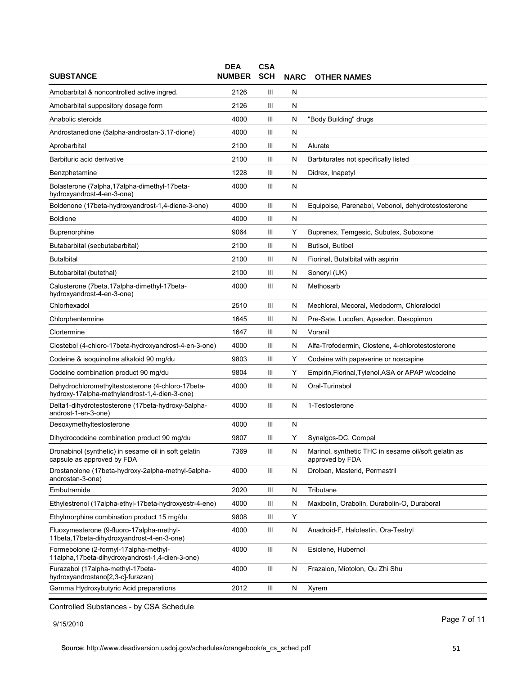| <b>SUBSTANCE</b>                                                                                   | <b>DEA</b><br><b>NUMBER</b> | <b>CSA</b><br><b>SCH</b> | <b>NARC</b> | <b>OTHER NAMES</b>                                                      |
|----------------------------------------------------------------------------------------------------|-----------------------------|--------------------------|-------------|-------------------------------------------------------------------------|
| Amobarbital & noncontrolled active ingred.                                                         | 2126                        | Ш                        | N           |                                                                         |
| Amobarbital suppository dosage form                                                                | 2126                        | Ш                        | N           |                                                                         |
| Anabolic steroids                                                                                  | 4000                        | Ш                        | N           | "Body Building" drugs                                                   |
| Androstanedione (5alpha-androstan-3,17-dione)                                                      | 4000                        | Ш                        | N           |                                                                         |
| Aprobarbital                                                                                       | 2100                        | Ш                        | N           | Alurate                                                                 |
| Barbituric acid derivative                                                                         | 2100                        | Ш                        | N           | Barbiturates not specifically listed                                    |
| Benzphetamine                                                                                      | 1228                        | Ш                        | N           | Didrex, Inapetyl                                                        |
| Bolasterone (7alpha,17alpha-dimethyl-17beta-<br>hydroxyandrost-4-en-3-one)                         | 4000                        | Ш                        | N           |                                                                         |
| Boldenone (17beta-hydroxyandrost-1,4-diene-3-one)                                                  | 4000                        | Ш                        | N           | Equipoise, Parenabol, Vebonol, dehydrotestosterone                      |
| <b>Boldione</b>                                                                                    | 4000                        | Ш                        | N           |                                                                         |
| Buprenorphine                                                                                      | 9064                        | Ш                        | Y           | Buprenex, Temgesic, Subutex, Suboxone                                   |
| Butabarbital (secbutabarbital)                                                                     | 2100                        | Ш                        | N           | Butisol, Butibel                                                        |
| <b>Butalbital</b>                                                                                  | 2100                        | Ш                        | N           | Fiorinal, Butalbital with aspirin                                       |
| Butobarbital (butethal)                                                                            | 2100                        | Ш                        | N           | Soneryl (UK)                                                            |
| Calusterone (7beta, 17alpha-dimethyl-17beta-<br>hydroxyandrost-4-en-3-one)                         | 4000                        | Ш                        | N           | Methosarb                                                               |
| Chlorhexadol                                                                                       | 2510                        | Ш                        | N           | Mechloral, Mecoral, Medodorm, Chloralodol                               |
| Chlorphentermine                                                                                   | 1645                        | Ш                        | N           | Pre-Sate, Lucofen, Apsedon, Desopimon                                   |
| Clortermine                                                                                        | 1647                        | Ш                        | N           | Voranil                                                                 |
| Clostebol (4-chloro-17beta-hydroxyandrost-4-en-3-one)                                              | 4000                        | Ш                        | N           | Alfa-Trofodermin, Clostene, 4-chlorotestosterone                        |
| Codeine & isoquinoline alkaloid 90 mg/du                                                           | 9803                        | Ш                        | Y           | Codeine with papaverine or noscapine                                    |
| Codeine combination product 90 mg/du                                                               | 9804                        | Ш                        | Y           | Empirin, Fiorinal, Tylenol, ASA or APAP w/codeine                       |
| Dehydrochloromethyltestosterone (4-chloro-17beta-<br>hydroxy-17alpha-methylandrost-1,4-dien-3-one) | 4000                        | Ш                        | N           | Oral-Turinabol                                                          |
| Delta1-dihydrotestosterone (17beta-hydroxy-5alpha-<br>androst-1-en-3-one)                          | 4000                        | Ш                        | N           | 1-Testosterone                                                          |
| Desoxymethyltestosterone                                                                           | 4000                        | Ш                        | N           |                                                                         |
| Dihydrocodeine combination product 90 mg/du                                                        | 9807                        | Ш                        | Y           | Synalgos-DC, Compal                                                     |
| Dronabinol (synthetic) in sesame oil in soft gelatin<br>capsule as approved by FDA                 | 7369                        | Ш                        | N           | Marinol, synthetic THC in sesame oil/soft gelatin as<br>approved by FDA |
| Drostanolone (17beta-hydroxy-2alpha-methyl-5alpha-<br>androstan-3-one)                             | 4000                        | Ш                        | N           | Drolban, Masterid, Permastril                                           |
| Embutramide                                                                                        | 2020                        | Ш                        | N           | Tributane                                                               |
| Ethylestrenol (17alpha-ethyl-17beta-hydroxyestr-4-ene)                                             | 4000                        | Ш                        | N           | Maxibolin, Orabolin, Durabolin-O, Duraboral                             |
| Ethylmorphine combination product 15 mg/du                                                         | 9808                        | Ш                        | Υ           |                                                                         |
| Fluoxymesterone (9-fluoro-17alpha-methyl-<br>11beta, 17beta-dihydroxyandrost-4-en-3-one)           | 4000                        | Ш                        | N           | Anadroid-F, Halotestin, Ora-Testryl                                     |
| Formebolone (2-formyl-17alpha-methyl-<br>11alpha, 17beta-dihydroxyandrost-1, 4-dien-3-one)         | 4000                        | Ш                        | N           | Esiclene, Hubernol                                                      |
| Furazabol (17alpha-methyl-17beta-<br>hydroxyandrostano[2,3-c]-furazan)                             | 4000                        | Ш                        | N           | Frazalon, Miotolon, Qu Zhi Shu                                          |
| Gamma Hydroxybutyric Acid preparations                                                             | 2012                        | Ш                        | N           | Xyrem                                                                   |

9/15/2010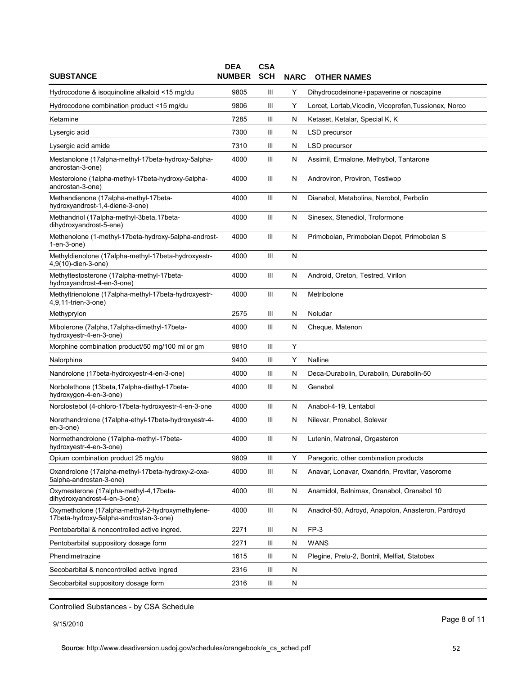| <b>SUBSTANCE</b>                                                                           | <b>DEA</b><br><b>NUMBER</b> | <b>CSA</b><br><b>SCH</b> | <b>NARC</b> | <b>OTHER NAMES</b>                                    |
|--------------------------------------------------------------------------------------------|-----------------------------|--------------------------|-------------|-------------------------------------------------------|
| Hydrocodone & isoquinoline alkaloid <15 mg/du                                              | 9805                        | Ш                        | Y           | Dihydrocodeinone+papaverine or noscapine              |
| Hydrocodone combination product <15 mg/du                                                  | 9806                        | Ш                        | Y           | Lorcet, Lortab, Vicodin, Vicoprofen, Tussionex, Norco |
| Ketamine                                                                                   | 7285                        | Ш                        | N           | Ketaset, Ketalar, Special K, K                        |
| Lysergic acid                                                                              | 7300                        | Ш                        | N           | LSD precursor                                         |
| Lysergic acid amide                                                                        | 7310                        | Ш                        | N           | LSD precursor                                         |
| Mestanolone (17alpha-methyl-17beta-hydroxy-5alpha-<br>androstan-3-one)                     | 4000                        | Ш                        | N           | Assimil, Ermalone, Methybol, Tantarone                |
| Mesterolone (1alpha-methyl-17beta-hydroxy-5alpha-<br>androstan-3-one)                      | 4000                        | Ш                        | N           | Androviron, Proviron, Testiwop                        |
| Methandienone (17alpha-methyl-17beta-<br>hydroxyandrost-1,4-diene-3-one)                   | 4000                        | Ш                        | N           | Dianabol, Metabolina, Nerobol, Perbolin               |
| Methandriol (17alpha-methyl-3beta, 17beta-<br>dihydroxyandrost-5-ene)                      | 4000                        | Ш                        | N           | Sinesex, Stenediol, Troformone                        |
| Methenolone (1-methyl-17beta-hydroxy-5alpha-androst-<br>1-en-3-one)                        | 4000                        | Ш                        | N           | Primobolan, Primobolan Depot, Primobolan S            |
| Methyldienolone (17alpha-methyl-17beta-hydroxyestr-<br>4,9(10)-dien-3-one)                 | 4000                        | Ш                        | N           |                                                       |
| Methyltestosterone (17alpha-methyl-17beta-<br>hydroxyandrost-4-en-3-one)                   | 4000                        | Ш                        | N           | Android, Oreton, Testred, Virilon                     |
| Methyltrienolone (17alpha-methyl-17beta-hydroxyestr-<br>4,9,11-trien-3-one)                | 4000                        | Ш                        | N           | Metribolone                                           |
| Methyprylon                                                                                | 2575                        | Ш                        | N           | Noludar                                               |
| Mibolerone (7alpha, 17alpha-dimethyl-17beta-<br>hydroxyestr-4-en-3-one)                    | 4000                        | Ш                        | N           | Cheque, Matenon                                       |
| Morphine combination product/50 mg/100 ml or gm                                            | 9810                        | Ш                        | Y           |                                                       |
| Nalorphine                                                                                 | 9400                        | Ш                        | Υ           | Nalline                                               |
| Nandrolone (17beta-hydroxyestr-4-en-3-one)                                                 | 4000                        | Ш                        | N           | Deca-Durabolin, Durabolin, Durabolin-50               |
| Norbolethone (13beta, 17alpha-diethyl-17beta-<br>hydroxygon-4-en-3-one)                    | 4000                        | Ш                        | N           | Genabol                                               |
| Norclostebol (4-chloro-17beta-hydroxyestr-4-en-3-one                                       | 4000                        | Ш                        | N           | Anabol-4-19, Lentabol                                 |
| Norethandrolone (17alpha-ethyl-17beta-hydroxyestr-4-<br>en-3-one)                          | 4000                        | Ш                        | N           | Nilevar, Pronabol, Solevar                            |
| Normethandrolone (17alpha-methyl-17beta-<br>nydroxyestr-4-en-3-one)                        | 4000                        | Ш                        | N           | Lutenin, Matronal, Orgasteron                         |
| Opium combination product 25 mg/du                                                         | 9809                        | Ш                        | Y           | Paregoric, other combination products                 |
| Oxandrolone (17alpha-methyl-17beta-hydroxy-2-oxa-<br>5alpha-androstan-3-one)               | 4000                        | Ш                        | N           | Anavar, Lonavar, Oxandrin, Provitar, Vasorome         |
| Oxymesterone (17alpha-methyl-4,17beta-<br>dihydroxyandrost-4-en-3-one)                     | 4000                        | Ш                        | N           | Anamidol, Balnimax, Oranabol, Oranabol 10             |
| Oxymetholone (17alpha-methyl-2-hydroxymethylene-<br>17beta-hydroxy-5alpha-androstan-3-one) | 4000                        | Ш                        | N           | Anadrol-50, Adroyd, Anapolon, Anasteron, Pardroyd     |
| Pentobarbital & noncontrolled active ingred.                                               | 2271                        | Ш                        | N           | FP-3                                                  |
| Pentobarbital suppository dosage form                                                      | 2271                        | Ш                        | N           | <b>WANS</b>                                           |
| Phendimetrazine                                                                            | 1615                        | Ш                        | N           | Plegine, Prelu-2, Bontril, Melfiat, Statobex          |
| Secobarbital & noncontrolled active ingred                                                 | 2316                        | Ш                        | N           |                                                       |
| Secobarbital suppository dosage form                                                       | 2316                        | Ш                        | N           |                                                       |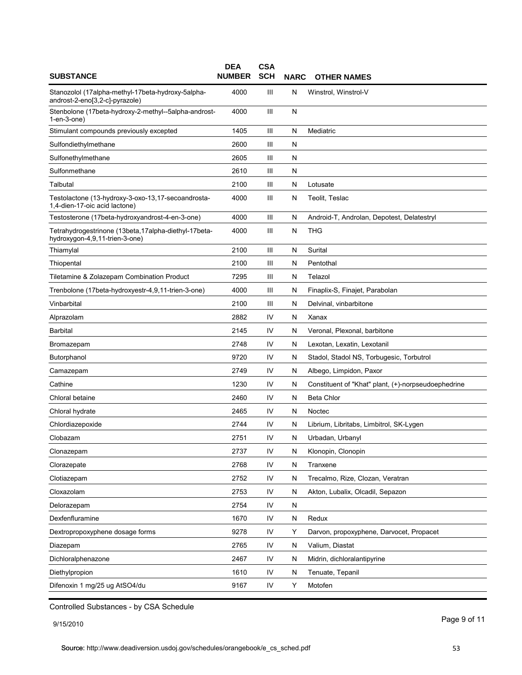| <b>SUBSTANCE</b>                                                                        | <b>DEA</b><br><b>NUMBER</b> | <b>CSA</b><br><b>SCH</b> | <b>NARC</b> | <b>OTHER NAMES</b>                                  |
|-----------------------------------------------------------------------------------------|-----------------------------|--------------------------|-------------|-----------------------------------------------------|
| Stanozolol (17alpha-methyl-17beta-hydroxy-5alpha-<br>androst-2-eno[3,2-c]-pyrazole)     | 4000                        | Ш                        | N           | Winstrol, Winstrol-V                                |
| Stenbolone (17beta-hydroxy-2-methyl--5alpha-androst-<br>$1$ -en- $3$ -one $)$           | 4000                        | Ш                        | N           |                                                     |
| Stimulant compounds previously excepted                                                 | 1405                        | Ш                        | N           | Mediatric                                           |
| Sulfondiethylmethane                                                                    | 2600                        | Ш                        | N           |                                                     |
| Sulfonethylmethane                                                                      | 2605                        | Ш                        | N           |                                                     |
| Sulfonmethane                                                                           | 2610                        | Ш                        | N           |                                                     |
| Talbutal                                                                                | 2100                        | Ш                        | N           | Lotusate                                            |
| Testolactone (13-hydroxy-3-oxo-13,17-secoandrosta-<br>1,4-dien-17-oic acid lactone)     | 4000                        | Ш                        | N           | Teolit, Teslac                                      |
| Testosterone (17beta-hydroxyandrost-4-en-3-one)                                         | 4000                        | Ш                        | N           | Android-T, Androlan, Depotest, Delatestryl          |
| Tetrahydrogestrinone (13beta, 17alpha-diethyl-17beta-<br>hydroxygon-4,9,11-trien-3-one) | 4000                        | Ш                        | N           | THG                                                 |
| Thiamylal                                                                               | 2100                        | Ш                        | N           | Surital                                             |
| Thiopental                                                                              | 2100                        | Ш                        | N           | Pentothal                                           |
| Tiletamine & Zolazepam Combination Product                                              | 7295                        | Ш                        | N           | Telazol                                             |
| Trenbolone (17beta-hydroxyestr-4,9,11-trien-3-one)                                      | 4000                        | Ш                        | N           | Finaplix-S, Finajet, Parabolan                      |
| Vinbarbital                                                                             | 2100                        | Ш                        | N           | Delvinal, vinbarbitone                              |
| Alprazolam                                                                              | 2882                        | IV                       | N           | Xanax                                               |
| Barbital                                                                                | 2145                        | IV                       | N           | Veronal, Plexonal, barbitone                        |
| Bromazepam                                                                              | 2748                        | IV                       | N           | Lexotan, Lexatin, Lexotanil                         |
| Butorphanol                                                                             | 9720                        | IV                       | N           | Stadol, Stadol NS, Torbugesic, Torbutrol            |
| Camazepam                                                                               | 2749                        | IV                       | N           | Albego, Limpidon, Paxor                             |
| Cathine                                                                                 | 1230                        | IV                       | N           | Constituent of "Khat" plant, (+)-norpseudoephedrine |
| Chloral betaine                                                                         | 2460                        | IV                       | N           | Beta Chlor                                          |
| Chloral hydrate                                                                         | 2465                        | IV                       | N           | Noctec                                              |
| Chlordiazepoxide                                                                        | 2744                        | IV                       | N           | Librium, Libritabs, Limbitrol, SK-Lygen             |
| Clobazam                                                                                | 2751                        | IV                       | N           | Urbadan, Urbanyl                                    |
| Clonazepam                                                                              | 2737                        | IV                       | N           | Klonopin, Clonopin                                  |
| Clorazepate                                                                             | 2768                        | IV                       | N           | Tranxene                                            |
| Clotiazepam                                                                             | 2752                        | IV                       | N           | Trecalmo, Rize, Clozan, Veratran                    |
| Cloxazolam                                                                              | 2753                        | IV                       | N           | Akton, Lubalix, Olcadil, Sepazon                    |
| Delorazepam                                                                             | 2754                        | IV                       | N           |                                                     |
| Dexfenfluramine                                                                         | 1670                        | IV                       | N           | Redux                                               |
| Dextropropoxyphene dosage forms                                                         | 9278                        | IV                       | Υ           | Darvon, propoxyphene, Darvocet, Propacet            |
| Diazepam                                                                                | 2765                        | IV                       | N           | Valium, Diastat                                     |
| Dichloralphenazone                                                                      | 2467                        | IV                       | N           | Midrin, dichloralantipyrine                         |
| Diethylpropion                                                                          | 1610                        | IV                       | N           | Tenuate, Tepanil                                    |
| Difenoxin 1 mg/25 ug AtSO4/du                                                           | 9167                        | IV                       | Υ           | Motofen                                             |
|                                                                                         |                             |                          |             |                                                     |

9/15/2010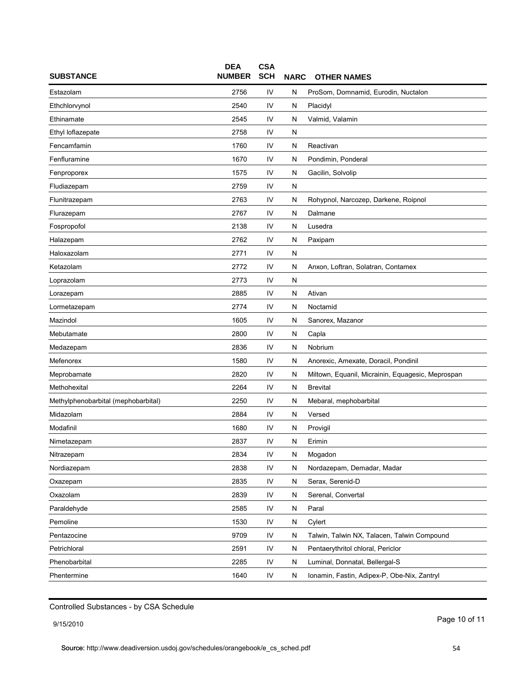| <b>SUBSTANCE</b>                    | <b>DEA</b><br><b>NUMBER</b> | <b>CSA</b><br><b>SCH</b> | <b>NARC</b> | <b>OTHER NAMES</b>                                |
|-------------------------------------|-----------------------------|--------------------------|-------------|---------------------------------------------------|
| Estazolam                           | 2756                        | IV                       | N           | ProSom, Domnamid, Eurodin, Nuctalon               |
| Ethchlorvynol                       | 2540                        | IV                       | N           | Placidyl                                          |
| Ethinamate                          | 2545                        | IV                       | N           | Valmid, Valamin                                   |
| Ethyl loflazepate                   | 2758                        | IV                       | N           |                                                   |
| Fencamfamin                         | 1760                        | IV                       | N           | Reactivan                                         |
| Fenfluramine                        | 1670                        | IV                       | N           | Pondimin, Ponderal                                |
| Fenproporex                         | 1575                        | IV                       | N           | Gacilin, Solvolip                                 |
| Fludiazepam                         | 2759                        | IV                       | N           |                                                   |
| Flunitrazepam                       | 2763                        | IV                       | N           | Rohypnol, Narcozep, Darkene, Roipnol              |
| Flurazepam                          | 2767                        | IV                       | N           | Dalmane                                           |
| Fospropofol                         | 2138                        | IV                       | N           | Lusedra                                           |
| Halazepam                           | 2762                        | IV                       | N           | Paxipam                                           |
| Haloxazolam                         | 2771                        | IV                       | N           |                                                   |
| Ketazolam                           | 2772                        | IV                       | ${\sf N}$   | Anxon, Loftran, Solatran, Contamex                |
| Loprazolam                          | 2773                        | IV                       | N           |                                                   |
| Lorazepam                           | 2885                        | IV                       | N           | Ativan                                            |
| Lormetazepam                        | 2774                        | IV                       | N           | Noctamid                                          |
| Mazindol                            | 1605                        | IV                       | N           | Sanorex, Mazanor                                  |
| Mebutamate                          | 2800                        | IV                       | N           | Capla                                             |
| Medazepam                           | 2836                        | IV                       | N           | Nobrium                                           |
| Mefenorex                           | 1580                        | IV                       | N           | Anorexic, Amexate, Doracil, Pondinil              |
| Meprobamate                         | 2820                        | IV                       | N           | Miltown, Equanil, Micrainin, Equagesic, Meprospan |
| Methohexital                        | 2264                        | IV                       | N           | <b>Brevital</b>                                   |
| Methylphenobarbital (mephobarbital) | 2250                        | IV                       | N           | Mebaral, mephobarbital                            |
| Midazolam                           | 2884                        | IV                       | N           | Versed                                            |
| Modafinil                           | 1680                        | IV                       | N           | Provigil                                          |
| Nimetazepam                         | 2837                        | IV                       | N           | Erimin                                            |
| Nitrazepam                          | 2834                        | IV                       | N           | Mogadon                                           |
| Nordiazepam                         | 2838                        | IV                       | N           | Nordazepam, Demadar, Madar                        |
| Oxazepam                            | 2835                        | IV                       | N           | Serax, Serenid-D                                  |
| Oxazolam                            | 2839                        | IV                       | N           | Serenal, Convertal                                |
| Paraldehyde                         | 2585                        | IV                       | N           | Paral                                             |
| Pemoline                            | 1530                        | IV                       | N           | Cylert                                            |
| Pentazocine                         | 9709                        | IV                       | N           | Talwin, Talwin NX, Talacen, Talwin Compound       |
| Petrichloral                        | 2591                        | IV                       | N           | Pentaerythritol chloral, Periclor                 |
| Phenobarbital                       | 2285                        | IV                       | N           | Luminal, Donnatal, Bellergal-S                    |
| Phentermine                         | 1640                        | IV                       | N           | Ionamin, Fastin, Adipex-P, Obe-Nix, Zantryl       |

9/15/2010